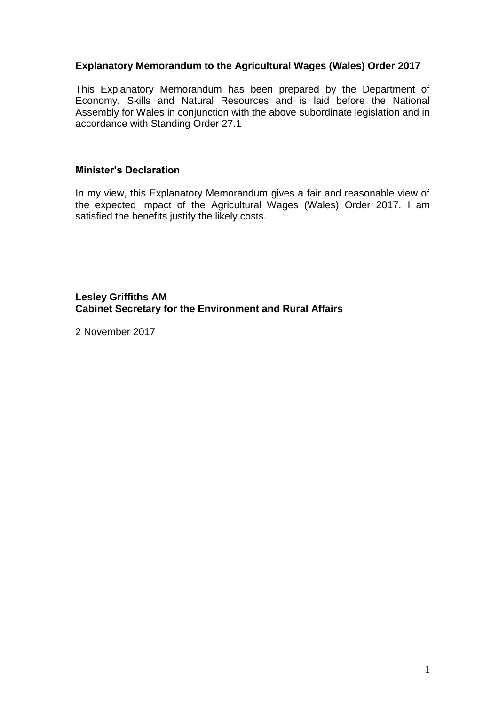# **Explanatory Memorandum to the Agricultural Wages (Wales) Order 2017**

This Explanatory Memorandum has been prepared by the Department of Economy, Skills and Natural Resources and is laid before the National Assembly for Wales in conjunction with the above subordinate legislation and in accordance with Standing Order 27.1

# **Minister's Declaration**

In my view, this Explanatory Memorandum gives a fair and reasonable view of the expected impact of the Agricultural Wages (Wales) Order 2017. I am satisfied the benefits justify the likely costs.

# **Lesley Griffiths AM Cabinet Secretary for the Environment and Rural Affairs**

2 November 2017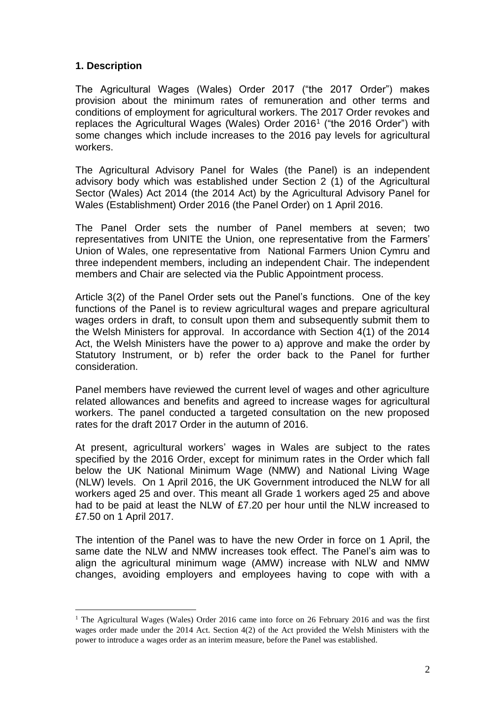# **1. Description**

1

The Agricultural Wages (Wales) Order 2017 ("the 2017 Order") makes provision about the minimum rates of remuneration and other terms and conditions of employment for agricultural workers. The 2017 Order revokes and replaces the Agricultural Wages (Wales) Order 2016<sup>1</sup> ("the 2016 Order") with some changes which include increases to the 2016 pay levels for agricultural workers.

The Agricultural Advisory Panel for Wales (the Panel) is an independent advisory body which was established under Section 2 (1) of the Agricultural Sector (Wales) Act 2014 (the 2014 Act) by the Agricultural Advisory Panel for Wales (Establishment) Order 2016 (the Panel Order) on 1 April 2016.

The Panel Order sets the number of Panel members at seven; two representatives from UNITE the Union, one representative from the Farmers' Union of Wales, one representative from National Farmers Union Cymru and three independent members, including an independent Chair. The independent members and Chair are selected via the Public Appointment process.

Article 3(2) of the Panel Order sets out the Panel's functions. One of the key functions of the Panel is to review agricultural wages and prepare agricultural wages orders in draft, to consult upon them and subsequently submit them to the Welsh Ministers for approval. In accordance with Section 4(1) of the 2014 Act, the Welsh Ministers have the power to a) approve and make the order by Statutory Instrument, or b) refer the order back to the Panel for further consideration.

Panel members have reviewed the current level of wages and other agriculture related allowances and benefits and agreed to increase wages for agricultural workers. The panel conducted a targeted consultation on the new proposed rates for the draft 2017 Order in the autumn of 2016.

At present, agricultural workers' wages in Wales are subject to the rates specified by the 2016 Order, except for minimum rates in the Order which fall below the UK National Minimum Wage (NMW) and National Living Wage (NLW) levels. On 1 April 2016, the UK Government introduced the NLW for all workers aged 25 and over. This meant all Grade 1 workers aged 25 and above had to be paid at least the NLW of £7.20 per hour until the NLW increased to £7.50 on 1 April 2017.

The intention of the Panel was to have the new Order in force on 1 April, the same date the NLW and NMW increases took effect. The Panel's aim was to align the agricultural minimum wage (AMW) increase with NLW and NMW changes, avoiding employers and employees having to cope with with a

<sup>&</sup>lt;sup>1</sup> The Agricultural Wages (Wales) Order 2016 came into force on 26 February 2016 and was the first wages order made under the 2014 Act. Section 4(2) of the Act provided the Welsh Ministers with the power to introduce a wages order as an interim measure, before the Panel was established.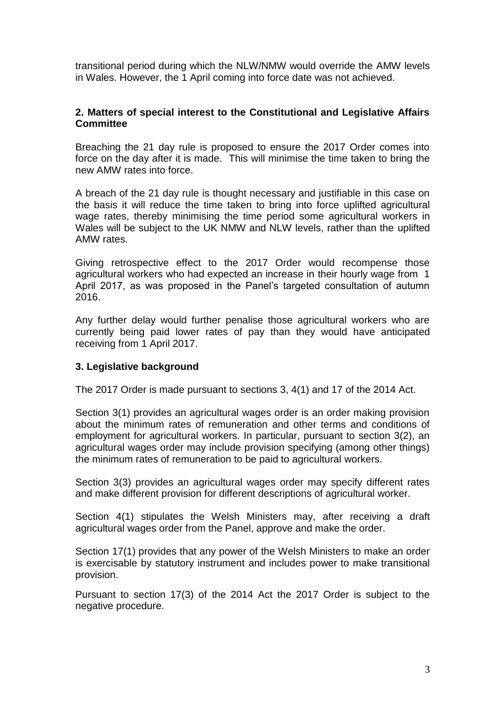transitional period during which the NLW/NMW would override the AMW levels in Wales. However, the 1 April coming into force date was not achieved.

## **2. Matters of special interest to the Constitutional and Legislative Affairs Committee**

Breaching the 21 day rule is proposed to ensure the 2017 Order comes into force on the day after it is made. This will minimise the time taken to bring the new AMW rates into force.

A breach of the 21 day rule is thought necessary and justifiable in this case on the basis it will reduce the time taken to bring into force uplifted agricultural wage rates, thereby minimising the time period some agricultural workers in Wales will be subject to the UK NMW and NLW levels, rather than the uplifted AMW rates.

Giving retrospective effect to the 2017 Order would recompense those agricultural workers who had expected an increase in their hourly wage from 1 April 2017, as was proposed in the Panel's targeted consultation of autumn 2016.

Any further delay would further penalise those agricultural workers who are currently being paid lower rates of pay than they would have anticipated receiving from 1 April 2017.

#### **3. Legislative background**

The 2017 Order is made pursuant to sections 3, 4(1) and 17 of the 2014 Act.

Section 3(1) provides an agricultural wages order is an order making provision about the minimum rates of remuneration and other terms and conditions of employment for agricultural workers. In particular, pursuant to section 3(2), an agricultural wages order may include provision specifying (among other things) the minimum rates of remuneration to be paid to agricultural workers.

Section 3(3) provides an agricultural wages order may specify different rates and make different provision for different descriptions of agricultural worker.

Section 4(1) stipulates the Welsh Ministers may, after receiving a draft agricultural wages order from the Panel, approve and make the order.

Section 17(1) provides that any power of the Welsh Ministers to make an order is exercisable by statutory instrument and includes power to make transitional provision.

Pursuant to section 17(3) of the 2014 Act the 2017 Order is subject to the negative procedure.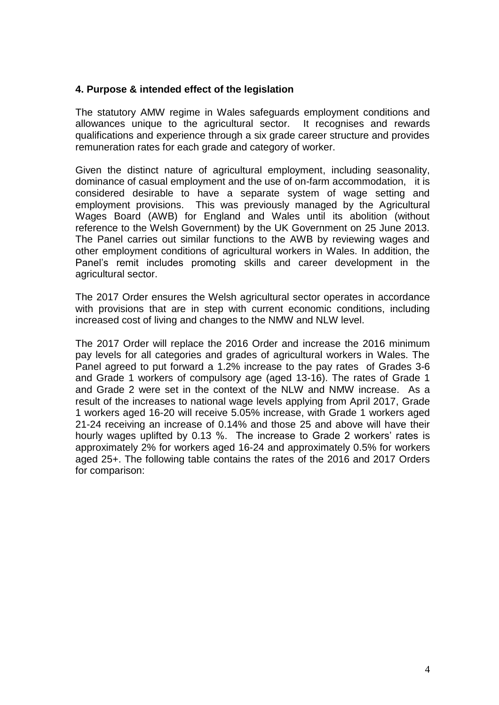#### **4. Purpose & intended effect of the legislation**

The statutory AMW regime in Wales safeguards employment conditions and allowances unique to the agricultural sector. It recognises and rewards qualifications and experience through a six grade career structure and provides remuneration rates for each grade and category of worker.

Given the distinct nature of agricultural employment, including seasonality, dominance of casual employment and the use of on-farm accommodation, it is considered desirable to have a separate system of wage setting and employment provisions. This was previously managed by the Agricultural Wages Board (AWB) for England and Wales until its abolition (without reference to the Welsh Government) by the UK Government on 25 June 2013. The Panel carries out similar functions to the AWB by reviewing wages and other employment conditions of agricultural workers in Wales. In addition, the Panel's remit includes promoting skills and career development in the agricultural sector.

The 2017 Order ensures the Welsh agricultural sector operates in accordance with provisions that are in step with current economic conditions, including increased cost of living and changes to the NMW and NLW level.

The 2017 Order will replace the 2016 Order and increase the 2016 minimum pay levels for all categories and grades of agricultural workers in Wales. The Panel agreed to put forward a 1.2% increase to the pay rates of Grades 3-6 and Grade 1 workers of compulsory age (aged 13-16). The rates of Grade 1 and Grade 2 were set in the context of the NLW and NMW increase. As a result of the increases to national wage levels applying from April 2017, Grade 1 workers aged 16-20 will receive 5.05% increase, with Grade 1 workers aged 21-24 receiving an increase of 0.14% and those 25 and above will have their hourly wages uplifted by 0.13 %. The increase to Grade 2 workers' rates is approximately 2% for workers aged 16-24 and approximately 0.5% for workers aged 25+. The following table contains the rates of the 2016 and 2017 Orders for comparison: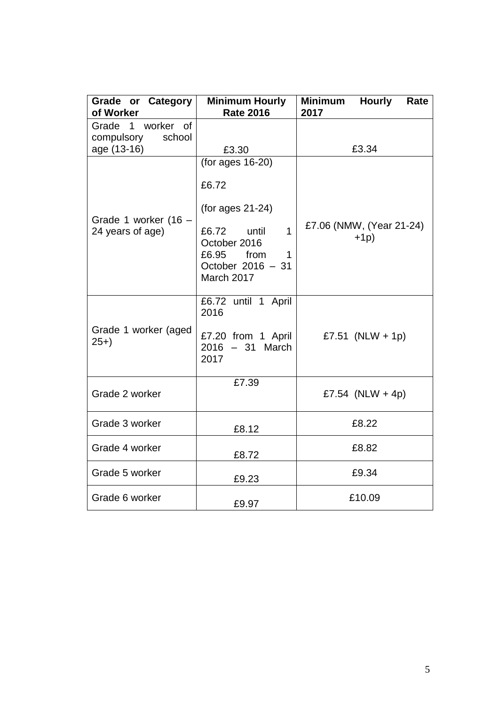| <b>Grade or Category</b><br>of Worker                    | <b>Minimum Hourly</b><br><b>Rate 2016</b>                                                                                                     | <b>Minimum</b><br><b>Hourly</b><br>Rate<br>2017 |
|----------------------------------------------------------|-----------------------------------------------------------------------------------------------------------------------------------------------|-------------------------------------------------|
| Grade 1 worker of<br>compulsory<br>school<br>age (13-16) | £3.30                                                                                                                                         | £3.34                                           |
| Grade 1 worker (16 -<br>24 years of age)                 | (for ages $16-20$ )<br>£6.72<br>(for ages $21-24$ )<br>£6.72 until<br>1<br>October 2016<br>£6.95 from<br>1<br>October 2016 - 31<br>March 2017 | £7.06 (NMW, (Year 21-24)<br>$+1p)$              |
| Grade 1 worker (aged<br>$25+$                            | £6.72 until 1 April<br>2016<br>£7.20 from 1 April<br>$2016 - 31$ March<br>2017                                                                | £7.51 (NLW + 1p)                                |
| Grade 2 worker                                           | £7.39                                                                                                                                         | £7.54 (NLW + 4p)                                |
| Grade 3 worker                                           | £8.22<br>£8.12                                                                                                                                |                                                 |
| Grade 4 worker                                           | £8.72                                                                                                                                         | £8.82                                           |
| Grade 5 worker                                           | £9.23                                                                                                                                         | £9.34                                           |
| Grade 6 worker                                           | £9.97                                                                                                                                         | £10.09                                          |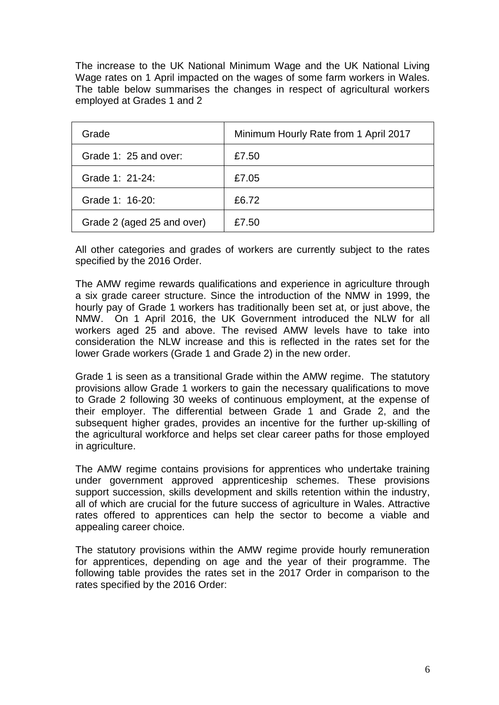The increase to the UK National Minimum Wage and the UK National Living Wage rates on 1 April impacted on the wages of some farm workers in Wales. The table below summarises the changes in respect of agricultural workers employed at Grades 1 and 2

| Grade                      | Minimum Hourly Rate from 1 April 2017 |
|----------------------------|---------------------------------------|
| Grade 1: 25 and over:      | £7.50                                 |
| Grade 1: 21-24:            | £7.05                                 |
| Grade 1: 16-20:            | £6.72                                 |
| Grade 2 (aged 25 and over) | £7.50                                 |

All other categories and grades of workers are currently subject to the rates specified by the 2016 Order.

The AMW regime rewards qualifications and experience in agriculture through a six grade career structure. Since the introduction of the NMW in 1999, the hourly pay of Grade 1 workers has traditionally been set at, or just above, the NMW. On 1 April 2016, the UK Government introduced the NLW for all workers aged 25 and above. The revised AMW levels have to take into consideration the NLW increase and this is reflected in the rates set for the lower Grade workers (Grade 1 and Grade 2) in the new order.

Grade 1 is seen as a transitional Grade within the AMW regime. The statutory provisions allow Grade 1 workers to gain the necessary qualifications to move to Grade 2 following 30 weeks of continuous employment, at the expense of their employer. The differential between Grade 1 and Grade 2, and the subsequent higher grades, provides an incentive for the further up-skilling of the agricultural workforce and helps set clear career paths for those employed in agriculture.

The AMW regime contains provisions for apprentices who undertake training under government approved apprenticeship schemes. These provisions support succession, skills development and skills retention within the industry, all of which are crucial for the future success of agriculture in Wales. Attractive rates offered to apprentices can help the sector to become a viable and appealing career choice.

The statutory provisions within the AMW regime provide hourly remuneration for apprentices, depending on age and the year of their programme. The following table provides the rates set in the 2017 Order in comparison to the rates specified by the 2016 Order: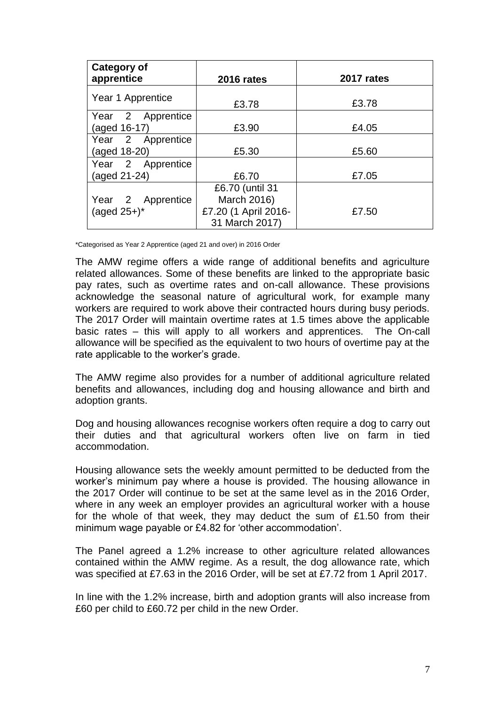| Category of       |                      |            |
|-------------------|----------------------|------------|
| apprentice        | <b>2016 rates</b>    | 2017 rates |
| Year 1 Apprentice |                      |            |
|                   | £3.78                | £3.78      |
| Year 2 Apprentice |                      |            |
| (aged 16-17)      | £3.90                | £4.05      |
| Year 2 Apprentice |                      |            |
| (aged 18-20)      | £5.30                | £5.60      |
| Year 2 Apprentice |                      |            |
| (aged 21-24)      | £6.70                | £7.05      |
|                   | £6.70 (until 31      |            |
| Year 2 Apprentice | March 2016)          |            |
| (aged $25+$ )*    | £7.20 (1 April 2016- | £7.50      |
|                   | 31 March 2017)       |            |

\*Categorised as Year 2 Apprentice (aged 21 and over) in 2016 Order

The AMW regime offers a wide range of additional benefits and agriculture related allowances. Some of these benefits are linked to the appropriate basic pay rates, such as overtime rates and on-call allowance. These provisions acknowledge the seasonal nature of agricultural work, for example many workers are required to work above their contracted hours during busy periods. The 2017 Order will maintain overtime rates at 1.5 times above the applicable basic rates – this will apply to all workers and apprentices. The On-call allowance will be specified as the equivalent to two hours of overtime pay at the rate applicable to the worker's grade.

The AMW regime also provides for a number of additional agriculture related benefits and allowances, including dog and housing allowance and birth and adoption grants.

Dog and housing allowances recognise workers often require a dog to carry out their duties and that agricultural workers often live on farm in tied accommodation.

Housing allowance sets the weekly amount permitted to be deducted from the worker's minimum pay where a house is provided. The housing allowance in the 2017 Order will continue to be set at the same level as in the 2016 Order, where in any week an employer provides an agricultural worker with a house for the whole of that week, they may deduct the sum of £1.50 from their minimum wage payable or £4.82 for 'other accommodation'.

The Panel agreed a 1.2% increase to other agriculture related allowances contained within the AMW regime. As a result, the dog allowance rate, which was specified at £7.63 in the 2016 Order, will be set at £7.72 from 1 April 2017.

In line with the 1.2% increase, birth and adoption grants will also increase from £60 per child to £60.72 per child in the new Order.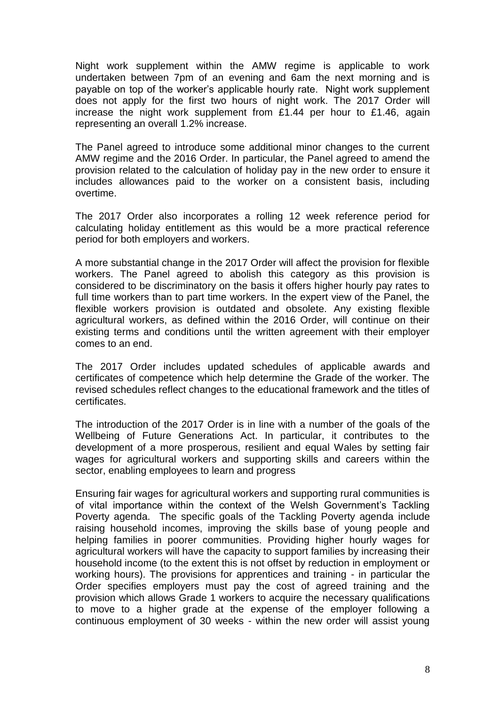Night work supplement within the AMW regime is applicable to work undertaken between 7pm of an evening and 6am the next morning and is payable on top of the worker's applicable hourly rate. Night work supplement does not apply for the first two hours of night work. The 2017 Order will increase the night work supplement from £1.44 per hour to £1.46, again representing an overall 1.2% increase.

The Panel agreed to introduce some additional minor changes to the current AMW regime and the 2016 Order. In particular, the Panel agreed to amend the provision related to the calculation of holiday pay in the new order to ensure it includes allowances paid to the worker on a consistent basis, including overtime.

The 2017 Order also incorporates a rolling 12 week reference period for calculating holiday entitlement as this would be a more practical reference period for both employers and workers.

A more substantial change in the 2017 Order will affect the provision for flexible workers. The Panel agreed to abolish this category as this provision is considered to be discriminatory on the basis it offers higher hourly pay rates to full time workers than to part time workers. In the expert view of the Panel, the flexible workers provision is outdated and obsolete. Any existing flexible agricultural workers, as defined within the 2016 Order, will continue on their existing terms and conditions until the written agreement with their employer comes to an end.

The 2017 Order includes updated schedules of applicable awards and certificates of competence which help determine the Grade of the worker. The revised schedules reflect changes to the educational framework and the titles of certificates.

The introduction of the 2017 Order is in line with a number of the goals of the Wellbeing of Future Generations Act. In particular, it contributes to the development of a more prosperous, resilient and equal Wales by setting fair wages for agricultural workers and supporting skills and careers within the sector, enabling employees to learn and progress

Ensuring fair wages for agricultural workers and supporting rural communities is of vital importance within the context of the Welsh Government's Tackling Poverty agenda. The specific goals of the Tackling Poverty agenda include raising household incomes, improving the skills base of young people and helping families in poorer communities. Providing higher hourly wages for agricultural workers will have the capacity to support families by increasing their household income (to the extent this is not offset by reduction in employment or working hours). The provisions for apprentices and training - in particular the Order specifies employers must pay the cost of agreed training and the provision which allows Grade 1 workers to acquire the necessary qualifications to move to a higher grade at the expense of the employer following a continuous employment of 30 weeks - within the new order will assist young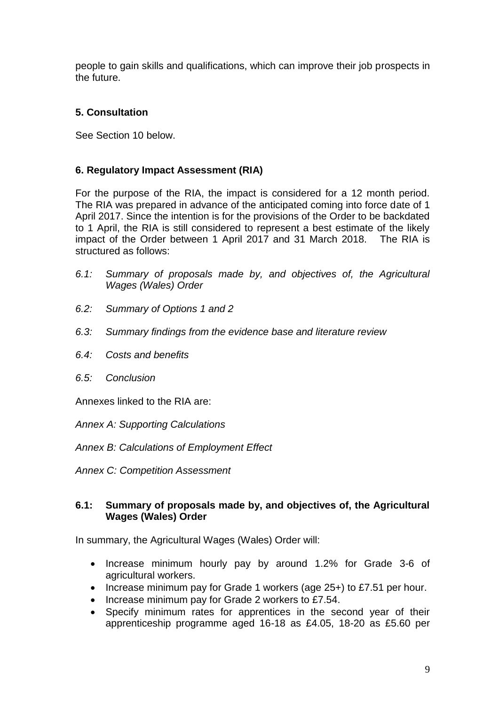people to gain skills and qualifications, which can improve their job prospects in the future.

# **5. Consultation**

See Section 10 below.

# **6. Regulatory Impact Assessment (RIA)**

For the purpose of the RIA, the impact is considered for a 12 month period. The RIA was prepared in advance of the anticipated coming into force date of 1 April 2017. Since the intention is for the provisions of the Order to be backdated to 1 April, the RIA is still considered to represent a best estimate of the likely impact of the Order between 1 April 2017 and 31 March 2018. The RIA is structured as follows:

- *6.1: Summary of proposals made by, and objectives of, the Agricultural Wages (Wales) Order*
- *6.2: Summary of Options 1 and 2*
- *6.3: Summary findings from the evidence base and literature review*
- *6.4: Costs and benefits*
- *6.5: Conclusion*

Annexes linked to the RIA are:

*Annex A: Supporting Calculations*

*Annex B: Calculations of Employment Effect*

*Annex C: Competition Assessment* 

# **6.1: Summary of proposals made by, and objectives of, the Agricultural Wages (Wales) Order**

In summary, the Agricultural Wages (Wales) Order will:

- Increase minimum hourly pay by around 1.2% for Grade 3-6 of agricultural workers.
- Increase minimum pay for Grade 1 workers (age 25+) to £7.51 per hour.
- Increase minimum pay for Grade 2 workers to £7.54.
- Specify minimum rates for apprentices in the second year of their apprenticeship programme aged 16-18 as £4.05, 18-20 as £5.60 per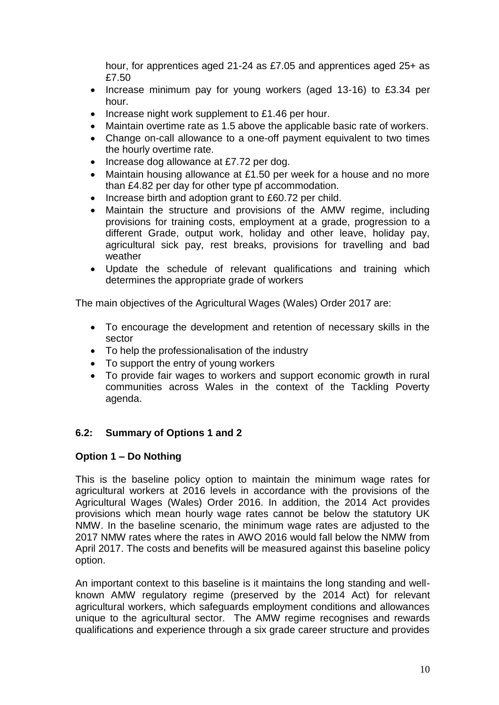hour, for apprentices aged 21-24 as £7.05 and apprentices aged 25+ as £7.50

- Increase minimum pay for young workers (aged 13-16) to £3.34 per hour.
- $\bullet$  Increase night work supplement to £1.46 per hour.
- Maintain overtime rate as 1.5 above the applicable basic rate of workers.
- Change on-call allowance to a one-off payment equivalent to two times the hourly overtime rate.
- Increase dog allowance at £7.72 per dog.
- Maintain housing allowance at £1.50 per week for a house and no more than £4.82 per day for other type pf accommodation.
- Increase birth and adoption grant to £60.72 per child.
- Maintain the structure and provisions of the AMW regime, including provisions for training costs, employment at a grade, progression to a different Grade, output work, holiday and other leave, holiday pay, agricultural sick pay, rest breaks, provisions for travelling and bad weather
- Update the schedule of relevant qualifications and training which determines the appropriate grade of workers

The main objectives of the Agricultural Wages (Wales) Order 2017 are:

- To encourage the development and retention of necessary skills in the sector
- To help the professionalisation of the industry
- To support the entry of young workers
- To provide fair wages to workers and support economic growth in rural communities across Wales in the context of the Tackling Poverty agenda.

# **6.2: Summary of Options 1 and 2**

# **Option 1 – Do Nothing**

This is the baseline policy option to maintain the minimum wage rates for agricultural workers at 2016 levels in accordance with the provisions of the Agricultural Wages (Wales) Order 2016. In addition, the 2014 Act provides provisions which mean hourly wage rates cannot be below the statutory UK NMW. In the baseline scenario, the minimum wage rates are adjusted to the 2017 NMW rates where the rates in AWO 2016 would fall below the NMW from April 2017. The costs and benefits will be measured against this baseline policy option.

An important context to this baseline is it maintains the long standing and wellknown AMW regulatory regime (preserved by the 2014 Act) for relevant agricultural workers, which safeguards employment conditions and allowances unique to the agricultural sector. The AMW regime recognises and rewards qualifications and experience through a six grade career structure and provides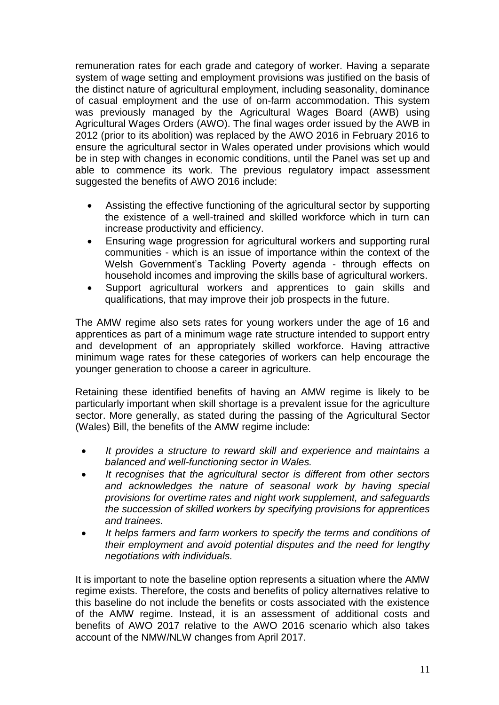remuneration rates for each grade and category of worker. Having a separate system of wage setting and employment provisions was justified on the basis of the distinct nature of agricultural employment, including seasonality, dominance of casual employment and the use of on-farm accommodation. This system was previously managed by the Agricultural Wages Board (AWB) using Agricultural Wages Orders (AWO). The final wages order issued by the AWB in 2012 (prior to its abolition) was replaced by the AWO 2016 in February 2016 to ensure the agricultural sector in Wales operated under provisions which would be in step with changes in economic conditions, until the Panel was set up and able to commence its work. The previous regulatory impact assessment suggested the benefits of AWO 2016 include:

- Assisting the effective functioning of the agricultural sector by supporting the existence of a well-trained and skilled workforce which in turn can increase productivity and efficiency.
- Ensuring wage progression for agricultural workers and supporting rural communities - which is an issue of importance within the context of the Welsh Government's Tackling Poverty agenda - through effects on household incomes and improving the skills base of agricultural workers.
- Support agricultural workers and apprentices to gain skills and qualifications, that may improve their job prospects in the future.

The AMW regime also sets rates for young workers under the age of 16 and apprentices as part of a minimum wage rate structure intended to support entry and development of an appropriately skilled workforce. Having attractive minimum wage rates for these categories of workers can help encourage the younger generation to choose a career in agriculture.

Retaining these identified benefits of having an AMW regime is likely to be particularly important when skill shortage is a prevalent issue for the agriculture sector. More generally, as stated during the passing of the Agricultural Sector (Wales) Bill, the benefits of the AMW regime include:

- *It provides a structure to reward skill and experience and maintains a balanced and well-functioning sector in Wales.*
- *It recognises that the agricultural sector is different from other sectors and acknowledges the nature of seasonal work by having special provisions for overtime rates and night work supplement, and safeguards the succession of skilled workers by specifying provisions for apprentices and trainees.*
- *It helps farmers and farm workers to specify the terms and conditions of their employment and avoid potential disputes and the need for lengthy negotiations with individuals.*

It is important to note the baseline option represents a situation where the AMW regime exists. Therefore, the costs and benefits of policy alternatives relative to this baseline do not include the benefits or costs associated with the existence of the AMW regime. Instead, it is an assessment of additional costs and benefits of AWO 2017 relative to the AWO 2016 scenario which also takes account of the NMW/NLW changes from April 2017.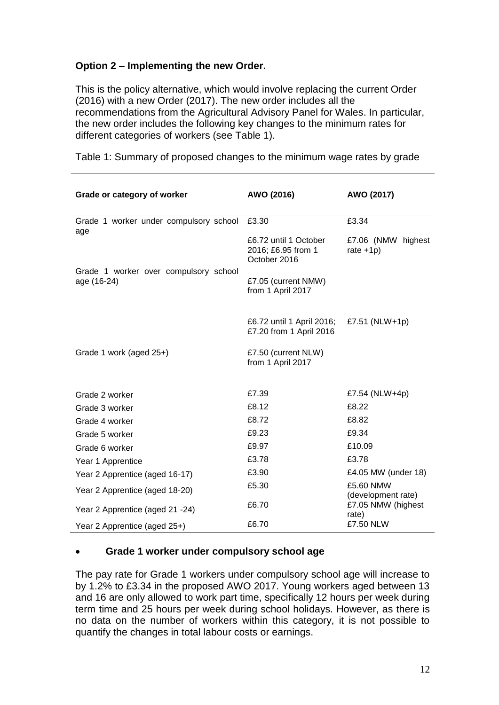# **Option 2 – Implementing the new Order.**

This is the policy alternative, which would involve replacing the current Order (2016) with a new Order (2017). The new order includes all the recommendations from the Agricultural Advisory Panel for Wales. In particular, the new order includes the following key changes to the minimum rates for different categories of workers (see Table 1).

| Grade or category of worker                          | AWO (2016)                                                          | AWO (2017)                         |  |  |
|------------------------------------------------------|---------------------------------------------------------------------|------------------------------------|--|--|
| Grade 1 worker under compulsory school               | £3.34<br>£3.30                                                      |                                    |  |  |
| age                                                  | £6.72 until 1 October<br>2016; £6.95 from 1<br>October 2016         | £7.06 (NMW highest<br>rate $+1p$ ) |  |  |
| Grade 1 worker over compulsory school<br>age (16-24) | £7.05 (current NMW)<br>from 1 April 2017                            |                                    |  |  |
|                                                      | £6.72 until 1 April 2016; £7.51 (NLW+1p)<br>£7.20 from 1 April 2016 |                                    |  |  |
| Grade 1 work (aged 25+)                              | £7.50 (current NLW)<br>from 1 April 2017                            |                                    |  |  |
| Grade 2 worker                                       | £7.39                                                               | £7.54 (NLW+4p)                     |  |  |
| Grade 3 worker                                       | £8.12                                                               | £8.22                              |  |  |
| Grade 4 worker                                       | £8.72                                                               | £8.82                              |  |  |
| Grade 5 worker                                       | £9.23                                                               | £9.34                              |  |  |
| Grade 6 worker                                       | £9.97                                                               | £10.09                             |  |  |
| Year 1 Apprentice                                    | £3.78                                                               | £3.78                              |  |  |
| Year 2 Apprentice (aged 16-17)                       | £3.90                                                               | £4.05 MW (under 18)                |  |  |
| Year 2 Apprentice (aged 18-20)                       | £5.30                                                               | £5.60 NMW<br>(development rate)    |  |  |
| Year 2 Apprentice (aged 21 -24)                      | £6.70                                                               | £7.05 NMW (highest<br>rate)        |  |  |
| Year 2 Apprentice (aged 25+)                         | £6.70                                                               | £7.50 NLW                          |  |  |

Table 1: Summary of proposed changes to the minimum wage rates by grade

#### **Grade 1 worker under compulsory school age**

The pay rate for Grade 1 workers under compulsory school age will increase to by 1.2% to £3.34 in the proposed AWO 2017. Young workers aged between 13 and 16 are only allowed to work part time, specifically 12 hours per week during term time and 25 hours per week during school holidays. However, as there is no data on the number of workers within this category, it is not possible to quantify the changes in total labour costs or earnings.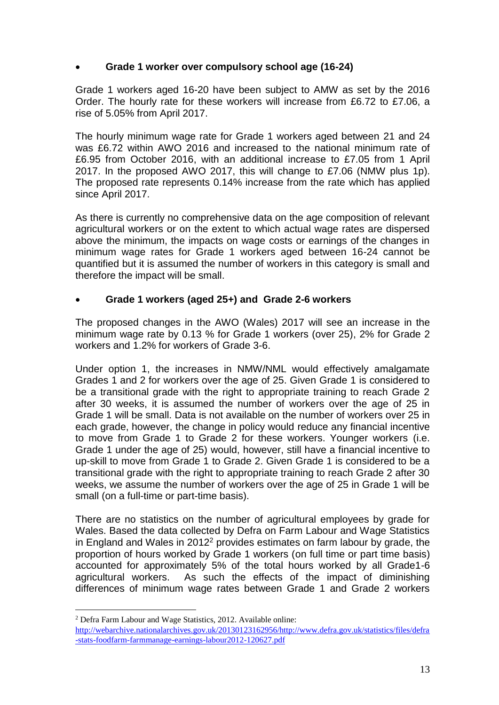# **Grade 1 worker over compulsory school age (16-24)**

Grade 1 workers aged 16-20 have been subject to AMW as set by the 2016 Order. The hourly rate for these workers will increase from £6.72 to £7.06, a rise of 5.05% from April 2017.

The hourly minimum wage rate for Grade 1 workers aged between 21 and 24 was £6.72 within AWO 2016 and increased to the national minimum rate of £6.95 from October 2016, with an additional increase to £7.05 from 1 April 2017. In the proposed AWO 2017, this will change to £7.06 (NMW plus 1p). The proposed rate represents 0.14% increase from the rate which has applied since April 2017.

As there is currently no comprehensive data on the age composition of relevant agricultural workers or on the extent to which actual wage rates are dispersed above the minimum, the impacts on wage costs or earnings of the changes in minimum wage rates for Grade 1 workers aged between 16-24 cannot be quantified but it is assumed the number of workers in this category is small and therefore the impact will be small.

# **Grade 1 workers (aged 25+) and Grade 2-6 workers**

The proposed changes in the AWO (Wales) 2017 will see an increase in the minimum wage rate by 0.13 % for Grade 1 workers (over 25), 2% for Grade 2 workers and 1.2% for workers of Grade 3-6.

Under option 1, the increases in NMW/NML would effectively amalgamate Grades 1 and 2 for workers over the age of 25. Given Grade 1 is considered to be a transitional grade with the right to appropriate training to reach Grade 2 after 30 weeks, it is assumed the number of workers over the age of 25 in Grade 1 will be small. Data is not available on the number of workers over 25 in each grade, however, the change in policy would reduce any financial incentive to move from Grade 1 to Grade 2 for these workers. Younger workers (i.e. Grade 1 under the age of 25) would, however, still have a financial incentive to up-skill to move from Grade 1 to Grade 2. Given Grade 1 is considered to be a transitional grade with the right to appropriate training to reach Grade 2 after 30 weeks, we assume the number of workers over the age of 25 in Grade 1 will be small (on a full-time or part-time basis).

There are no statistics on the number of agricultural employees by grade for Wales. Based the data collected by Defra on Farm Labour and Wage Statistics in England and Wales in 2012<sup>2</sup> provides estimates on farm labour by grade, the proportion of hours worked by Grade 1 workers (on full time or part time basis) accounted for approximately 5% of the total hours worked by all Grade1-6 agricultural workers. As such the effects of the impact of diminishing differences of minimum wage rates between Grade 1 and Grade 2 workers

<sup>2</sup> Defra Farm Labour and Wage Statistics, 2012. Available online:

[http://webarchive.nationalarchives.gov.uk/20130123162956/http://www.defra.gov.uk/statistics/files/defra](http://webarchive.nationalarchives.gov.uk/20130123162956/http:/www.defra.gov.uk/statistics/files/defra-stats-foodfarm-farmmanage-earnings-labour2012-120627.pdf) [-stats-foodfarm-farmmanage-earnings-labour2012-120627.pdf](http://webarchive.nationalarchives.gov.uk/20130123162956/http:/www.defra.gov.uk/statistics/files/defra-stats-foodfarm-farmmanage-earnings-labour2012-120627.pdf)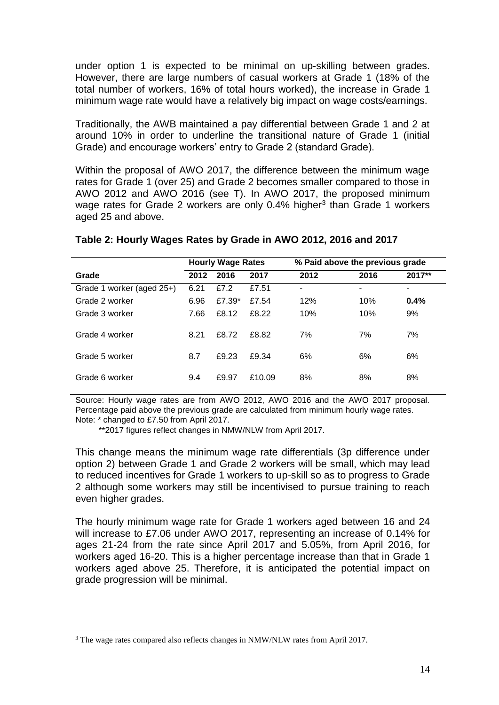under option 1 is expected to be minimal on up-skilling between grades. However, there are large numbers of casual workers at Grade 1 (18% of the total number of workers, 16% of total hours worked), the increase in Grade 1 minimum wage rate would have a relatively big impact on wage costs/earnings.

Traditionally, the AWB maintained a pay differential between Grade 1 and 2 at around 10% in order to underline the transitional nature of Grade 1 (initial Grade) and encourage workers' entry to Grade 2 (standard Grade).

Within the proposal of AWO 2017, the difference between the minimum wage rates for Grade 1 (over 25) and Grade 2 becomes smaller compared to those in AWO 2012 and AWO 2016 (see T). In AWO 2017, the proposed minimum wage rates for Grade 2 workers are only 0.4% higher<sup>3</sup> than Grade 1 workers aged 25 and above.

|                           | <b>Hourly Wage Rates</b> |        |        | % Paid above the previous grade |      |        |
|---------------------------|--------------------------|--------|--------|---------------------------------|------|--------|
| Grade                     | 2012                     | 2016   | 2017   | 2012                            | 2016 | 2017** |
| Grade 1 worker (aged 25+) | 6.21                     | £7.2   | £7.51  | ٠                               | ۰    | ۰      |
| Grade 2 worker            | 6.96                     | £7.39* | £7.54  | 12%                             | 10%  | 0.4%   |
| Grade 3 worker            | 7.66                     | £8.12  | £8.22  | 10%                             | 10%  | 9%     |
| Grade 4 worker            | 8.21                     | £8.72  | £8.82  | 7%                              | 7%   | 7%     |
| Grade 5 worker            | 8.7                      | £9.23  | £9.34  | 6%                              | 6%   | 6%     |
| Grade 6 worker            | 9.4                      | £9.97  | £10.09 | 8%                              | 8%   | 8%     |

#### **Table 2: Hourly Wages Rates by Grade in AWO 2012, 2016 and 2017**

Source: Hourly wage rates are from AWO 2012, AWO 2016 and the AWO 2017 proposal. Percentage paid above the previous grade are calculated from minimum hourly wage rates. Note: \* changed to £7.50 from April 2017.

\*\*2017 figures reflect changes in NMW/NLW from April 2017.

This change means the minimum wage rate differentials (3p difference under option 2) between Grade 1 and Grade 2 workers will be small, which may lead to reduced incentives for Grade 1 workers to up-skill so as to progress to Grade 2 although some workers may still be incentivised to pursue training to reach even higher grades.

The hourly minimum wage rate for Grade 1 workers aged between 16 and 24 will increase to £7.06 under AWO 2017, representing an increase of 0.14% for ages 21-24 from the rate since April 2017 and 5.05%, from April 2016, for workers aged 16-20. This is a higher percentage increase than that in Grade 1 workers aged above 25. Therefore, it is anticipated the potential impact on grade progression will be minimal.

<sup>&</sup>lt;sup>3</sup> The wage rates compared also reflects changes in NMW/NLW rates from April 2017.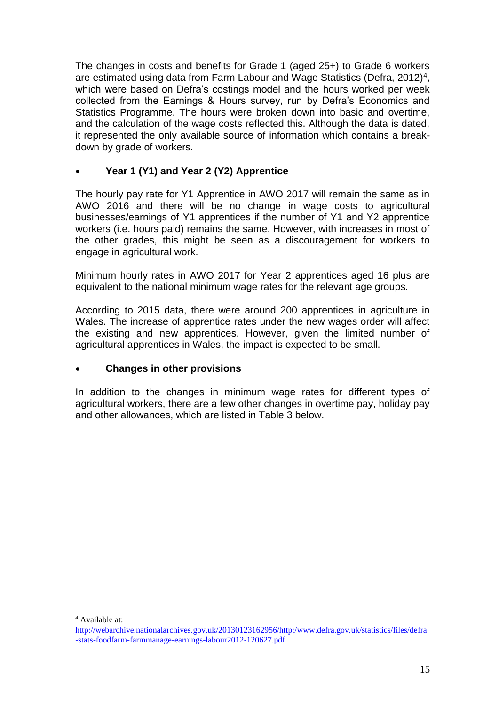The changes in costs and benefits for Grade 1 (aged 25+) to Grade 6 workers are estimated using data from Farm Labour and Wage Statistics (Defra, 2012)<sup>4</sup>, which were based on Defra's costings model and the hours worked per week collected from the Earnings & Hours survey, run by Defra's Economics and Statistics Programme. The hours were broken down into basic and overtime, and the calculation of the wage costs reflected this. Although the data is dated, it represented the only available source of information which contains a breakdown by grade of workers.

# **Year 1 (Y1) and Year 2 (Y2) Apprentice**

The hourly pay rate for Y1 Apprentice in AWO 2017 will remain the same as in AWO 2016 and there will be no change in wage costs to agricultural businesses/earnings of Y1 apprentices if the number of Y1 and Y2 apprentice workers (i.e. hours paid) remains the same. However, with increases in most of the other grades, this might be seen as a discouragement for workers to engage in agricultural work.

Minimum hourly rates in AWO 2017 for Year 2 apprentices aged 16 plus are equivalent to the national minimum wage rates for the relevant age groups.

According to 2015 data, there were around 200 apprentices in agriculture in Wales. The increase of apprentice rates under the new wages order will affect the existing and new apprentices. However, given the limited number of agricultural apprentices in Wales, the impact is expected to be small.

# **Changes in other provisions**

In addition to the changes in minimum wage rates for different types of agricultural workers, there are a few other changes in overtime pay, holiday pay and other allowances, which are listed in Table 3 below.

<sup>4</sup> Available at:

[http://webarchive.nationalarchives.gov.uk/20130123162956/http:/www.defra.gov.uk/statistics/files/defra](http://webarchive.nationalarchives.gov.uk/20130123162956/http:/www.defra.gov.uk/statistics/files/defra-stats-foodfarm-farmmanage-earnings-labour2012-120627.pdf) [-stats-foodfarm-farmmanage-earnings-labour2012-120627.pdf](http://webarchive.nationalarchives.gov.uk/20130123162956/http:/www.defra.gov.uk/statistics/files/defra-stats-foodfarm-farmmanage-earnings-labour2012-120627.pdf)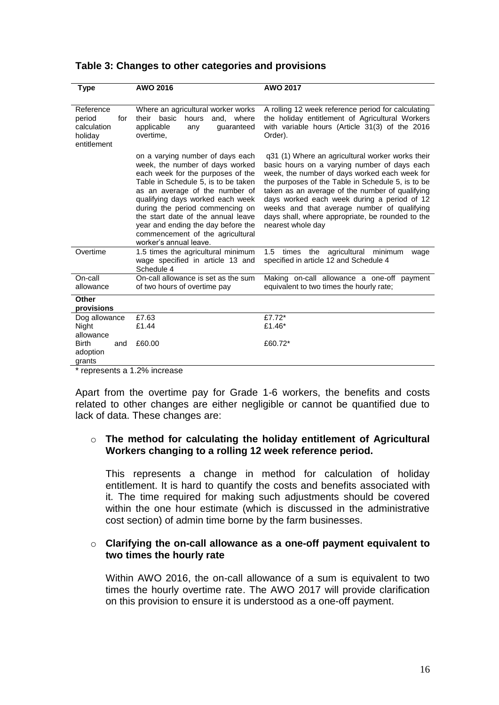| <b>Type</b>                                                                  | AWO 2016                                                                                                                                                                                                                                                                                                                                                                                           | <b>AWO 2017</b>                                                                                                                                                                                                                                                                                                                                                                                                                  |  |  |
|------------------------------------------------------------------------------|----------------------------------------------------------------------------------------------------------------------------------------------------------------------------------------------------------------------------------------------------------------------------------------------------------------------------------------------------------------------------------------------------|----------------------------------------------------------------------------------------------------------------------------------------------------------------------------------------------------------------------------------------------------------------------------------------------------------------------------------------------------------------------------------------------------------------------------------|--|--|
| Reference<br>period<br>for<br>calculation<br>holiday<br>entitlement          | Where an agricultural worker works<br>their basic hours and, where<br>applicable<br>guaranteed<br>any<br>overtime,                                                                                                                                                                                                                                                                                 | A rolling 12 week reference period for calculating<br>the holiday entitlement of Agricultural Workers<br>with variable hours (Article 31(3) of the 2016<br>Order).                                                                                                                                                                                                                                                               |  |  |
|                                                                              | on a varying number of days each<br>week, the number of days worked<br>each week for the purposes of the<br>Table in Schedule 5, is to be taken<br>as an average of the number of<br>qualifying days worked each week<br>during the period commencing on<br>the start date of the annual leave<br>year and ending the day before the<br>commencement of the agricultural<br>worker's annual leave. | q31 (1) Where an agricultural worker works their<br>basic hours on a varying number of days each<br>week, the number of days worked each week for<br>the purposes of the Table in Schedule 5, is to be<br>taken as an average of the number of qualifying<br>days worked each week during a period of 12<br>weeks and that average number of qualifying<br>days shall, where appropriate, be rounded to the<br>nearest whole day |  |  |
| Overtime                                                                     | 1.5 times the agricultural minimum<br>wage specified in article 13 and<br>Schedule 4                                                                                                                                                                                                                                                                                                               | minimum<br>1.5<br>times<br>the<br>agricultural<br>wage<br>specified in article 12 and Schedule 4                                                                                                                                                                                                                                                                                                                                 |  |  |
| On-call<br>allowance                                                         | On-call allowance is set as the sum<br>of two hours of overtime pay                                                                                                                                                                                                                                                                                                                                | Making on-call allowance a one-off payment<br>equivalent to two times the hourly rate;                                                                                                                                                                                                                                                                                                                                           |  |  |
| Other<br>provisions                                                          |                                                                                                                                                                                                                                                                                                                                                                                                    |                                                                                                                                                                                                                                                                                                                                                                                                                                  |  |  |
| Dog allowance<br>Night<br>allowance                                          | £7.63<br>£1.44                                                                                                                                                                                                                                                                                                                                                                                     | £7.72*<br>£1.46*                                                                                                                                                                                                                                                                                                                                                                                                                 |  |  |
| <b>Birth</b><br>and<br>adoption<br>grants<br>$*$ roprocente a 1.00/ increase | £60.00                                                                                                                                                                                                                                                                                                                                                                                             | £60.72*                                                                                                                                                                                                                                                                                                                                                                                                                          |  |  |

## **Table 3: Changes to other categories and provisions**

represents a 1.2% increase

Apart from the overtime pay for Grade 1-6 workers, the benefits and costs related to other changes are either negligible or cannot be quantified due to lack of data. These changes are:

#### o **The method for calculating the holiday entitlement of Agricultural Workers changing to a rolling 12 week reference period.**

This represents a change in method for calculation of holiday entitlement. It is hard to quantify the costs and benefits associated with it. The time required for making such adjustments should be covered within the one hour estimate (which is discussed in the administrative cost section) of admin time borne by the farm businesses.

#### o **Clarifying the on-call allowance as a one-off payment equivalent to two times the hourly rate**

Within AWO 2016, the on-call allowance of a sum is equivalent to two times the hourly overtime rate. The AWO 2017 will provide clarification on this provision to ensure it is understood as a one-off payment.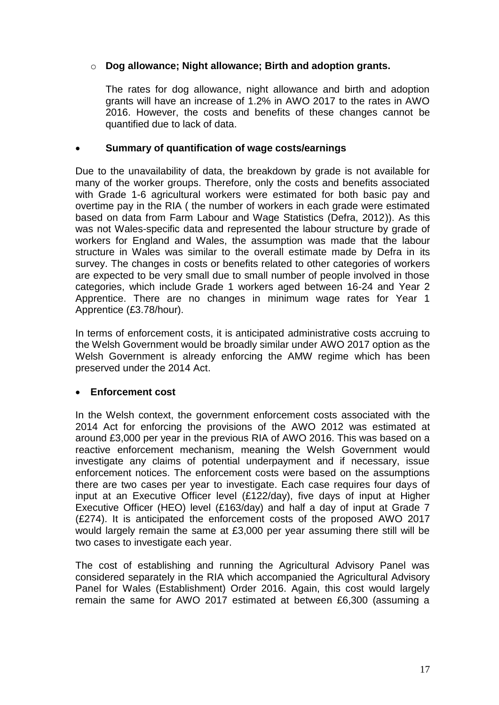# o **Dog allowance; Night allowance; Birth and adoption grants.**

The rates for dog allowance, night allowance and birth and adoption grants will have an increase of 1.2% in AWO 2017 to the rates in AWO 2016. However, the costs and benefits of these changes cannot be quantified due to lack of data.

#### **Summary of quantification of wage costs/earnings**

Due to the unavailability of data, the breakdown by grade is not available for many of the worker groups. Therefore, only the costs and benefits associated with Grade 1-6 agricultural workers were estimated for both basic pay and overtime pay in the RIA ( the number of workers in each grade were estimated based on data from Farm Labour and Wage Statistics (Defra, 2012)). As this was not Wales-specific data and represented the labour structure by grade of workers for England and Wales, the assumption was made that the labour structure in Wales was similar to the overall estimate made by Defra in its survey. The changes in costs or benefits related to other categories of workers are expected to be very small due to small number of people involved in those categories, which include Grade 1 workers aged between 16-24 and Year 2 Apprentice. There are no changes in minimum wage rates for Year 1 Apprentice (£3.78/hour).

In terms of enforcement costs, it is anticipated administrative costs accruing to the Welsh Government would be broadly similar under AWO 2017 option as the Welsh Government is already enforcing the AMW regime which has been preserved under the 2014 Act.

#### **Enforcement cost**

In the Welsh context, the government enforcement costs associated with the 2014 Act for enforcing the provisions of the AWO 2012 was estimated at around £3,000 per year in the previous RIA of AWO 2016. This was based on a reactive enforcement mechanism, meaning the Welsh Government would investigate any claims of potential underpayment and if necessary, issue enforcement notices. The enforcement costs were based on the assumptions there are two cases per year to investigate. Each case requires four days of input at an Executive Officer level (£122/day), five days of input at Higher Executive Officer (HEO) level (£163/day) and half a day of input at Grade 7 (£274). It is anticipated the enforcement costs of the proposed AWO 2017 would largely remain the same at £3,000 per year assuming there still will be two cases to investigate each year.

The cost of establishing and running the Agricultural Advisory Panel was considered separately in the RIA which accompanied the Agricultural Advisory Panel for Wales (Establishment) Order 2016. Again, this cost would largely remain the same for AWO 2017 estimated at between £6,300 (assuming a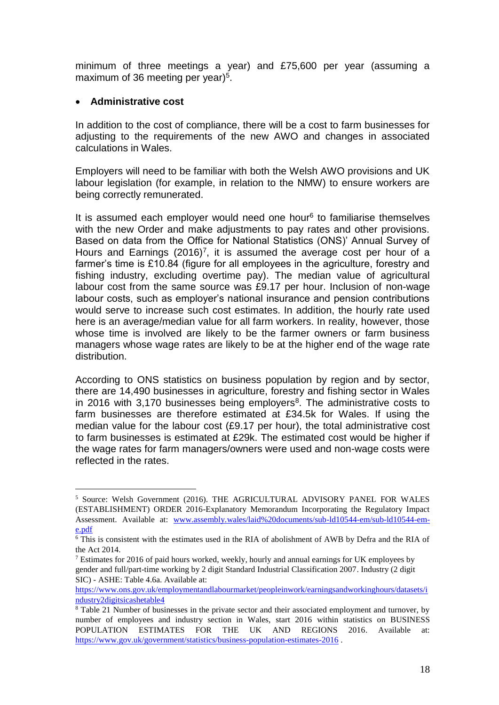minimum of three meetings a year) and £75,600 per year (assuming a maximum of 36 meeting per year)<sup>5</sup>.

# **Administrative cost**

<u>.</u>

In addition to the cost of compliance, there will be a cost to farm businesses for adjusting to the requirements of the new AWO and changes in associated calculations in Wales.

Employers will need to be familiar with both the Welsh AWO provisions and UK labour legislation (for example, in relation to the NMW) to ensure workers are being correctly remunerated.

It is assumed each employer would need one hour<sup>6</sup> to familiarise themselves with the new Order and make adjustments to pay rates and other provisions. Based on data from the Office for National Statistics (ONS)' Annual Survey of Hours and Earnings  $(2016)^7$ , it is assumed the average cost per hour of a farmer's time is £10.84 (figure for all employees in the agriculture, forestry and fishing industry, excluding overtime pay). The median value of agricultural labour cost from the same source was £9.17 per hour. Inclusion of non-wage labour costs, such as employer's national insurance and pension contributions would serve to increase such cost estimates. In addition, the hourly rate used here is an average/median value for all farm workers. In reality, however, those whose time is involved are likely to be the farmer owners or farm business managers whose wage rates are likely to be at the higher end of the wage rate distribution.

According to ONS statistics on business population by region and by sector, there are 14,490 businesses in agriculture, forestry and fishing sector in Wales in 2016 with 3,170 businesses being employers<sup>8</sup>. The administrative costs to farm businesses are therefore estimated at £34.5k for Wales. If using the median value for the labour cost (£9.17 per hour), the total administrative cost to farm businesses is estimated at £29k. The estimated cost would be higher if the wage rates for farm managers/owners were used and non-wage costs were reflected in the rates.

<sup>5</sup> Source: Welsh Government (2016). THE AGRICULTURAL ADVISORY PANEL FOR WALES (ESTABLISHMENT) ORDER 2016-Explanatory Memorandum Incorporating the Regulatory Impact Assessment. Available at: [www.assembly.wales/laid%20documents/sub-ld10544-em/sub-ld10544-em](http://www.assembly.wales/laid%20documents/sub-ld10544-em/sub-ld10544-em-e.pdf)[e.pdf](http://www.assembly.wales/laid%20documents/sub-ld10544-em/sub-ld10544-em-e.pdf)

 $\overline{6}$  This is consistent with the estimates used in the RIA of abolishment of AWB by Defra and the RIA of the Act 2014.

 $<sup>7</sup>$  Estimates for 2016 of paid hours worked, weekly, hourly and annual earnings for UK employees by</sup> gender and full/part-time working by 2 digit Standard Industrial Classification 2007. Industry (2 digit SIC) - ASHE: Table 4.6a. Available at:

[https://www.ons.gov.uk/employmentandlabourmarket/peopleinwork/earningsandworkinghours/datasets/i](https://www.ons.gov.uk/employmentandlabourmarket/peopleinwork/earningsandworkinghours/datasets/industry2digitsicashetable4) [ndustry2digitsicashetable4](https://www.ons.gov.uk/employmentandlabourmarket/peopleinwork/earningsandworkinghours/datasets/industry2digitsicashetable4)

<sup>8</sup> Table 21 Number of businesses in the private sector and their associated employment and turnover, by number of employees and industry section in Wales, start 2016 within statistics on BUSINESS POPULATION ESTIMATES FOR THE UK AND REGIONS 2016. Available at: <https://www.gov.uk/government/statistics/business-population-estimates-2016> .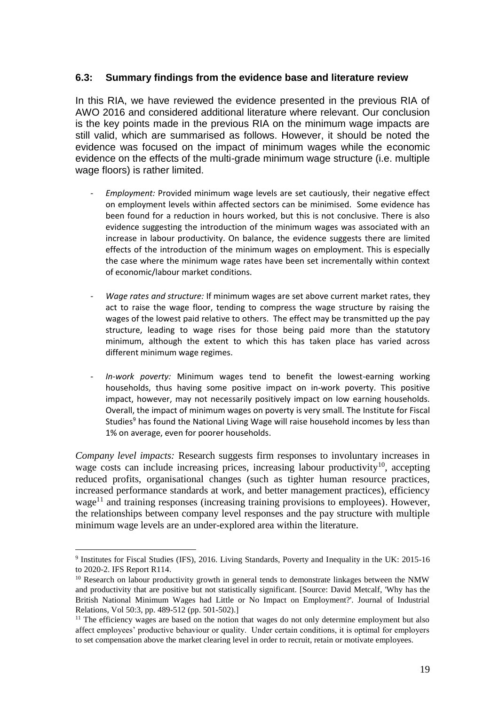#### **6.3: Summary findings from the evidence base and literature review**

In this RIA, we have reviewed the evidence presented in the previous RIA of AWO 2016 and considered additional literature where relevant. Our conclusion is the key points made in the previous RIA on the minimum wage impacts are still valid, which are summarised as follows. However, it should be noted the evidence was focused on the impact of minimum wages while the economic evidence on the effects of the multi-grade minimum wage structure (i.e. multiple wage floors) is rather limited.

- *Employment:* Provided minimum wage levels are set cautiously, their negative effect on employment levels within affected sectors can be minimised. Some evidence has been found for a reduction in hours worked, but this is not conclusive. There is also evidence suggesting the introduction of the minimum wages was associated with an increase in labour productivity. On balance, the evidence suggests there are limited effects of the introduction of the minimum wages on employment. This is especially the case where the minimum wage rates have been set incrementally within context of economic/labour market conditions.
- *Wage rates and structure:* If minimum wages are set above current market rates, they act to raise the wage floor, tending to compress the wage structure by raising the wages of the lowest paid relative to others. The effect may be transmitted up the pay structure, leading to wage rises for those being paid more than the statutory minimum, although the extent to which this has taken place has varied across different minimum wage regimes.
- In-work poverty: Minimum wages tend to benefit the lowest-earning working households, thus having some positive impact on in-work poverty. This positive impact, however, may not necessarily positively impact on low earning households. Overall, the impact of minimum wages on poverty is very small. The Institute for Fiscal Studies<sup>9</sup> has found the National Living Wage will raise household incomes by less than 1% on average, even for poorer households.

*Company level impacts:* Research suggests firm responses to involuntary increases in wage costs can include increasing prices, increasing labour productivity<sup>10</sup>, accepting reduced profits, organisational changes (such as tighter human resource practices, increased performance standards at work, and better management practices), efficiency wage<sup>11</sup> and training responses (increasing training provisions to employees). However, the relationships between company level responses and the pay structure with multiple minimum wage levels are an under-explored area within the literature.

<sup>9</sup> Institutes for Fiscal Studies (IFS), 2016. Living Standards, Poverty and Inequality in the UK: 2015-16 to 2020-2. IFS Report R114.

<sup>&</sup>lt;sup>10</sup> Research on labour productivity growth in general tends to demonstrate linkages between the NMW and productivity that are positive but not statistically significant. [Source: David Metcalf, 'Why has the British National Minimum Wages had Little or No Impact on Employment?'. Journal of Industrial Relations, Vol 50:3, pp. 489-512 (pp. 501-502).]

 $11$  The efficiency wages are based on the notion that wages do not only determine employment but also affect employees' productive behaviour or quality. Under certain conditions, it is optimal for employers to set compensation above the market clearing level in order to recruit, retain or motivate employees.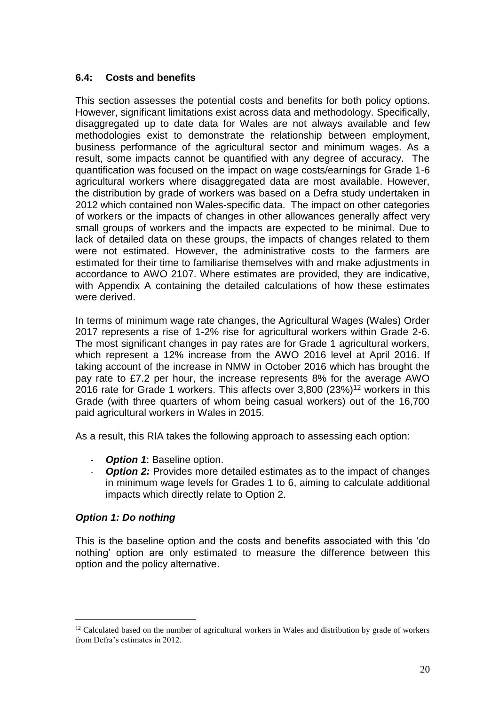# **6.4: Costs and benefits**

This section assesses the potential costs and benefits for both policy options. However, significant limitations exist across data and methodology. Specifically, disaggregated up to date data for Wales are not always available and few methodologies exist to demonstrate the relationship between employment, business performance of the agricultural sector and minimum wages. As a result, some impacts cannot be quantified with any degree of accuracy. The quantification was focused on the impact on wage costs/earnings for Grade 1-6 agricultural workers where disaggregated data are most available. However, the distribution by grade of workers was based on a Defra study undertaken in 2012 which contained non Wales-specific data. The impact on other categories of workers or the impacts of changes in other allowances generally affect very small groups of workers and the impacts are expected to be minimal. Due to lack of detailed data on these groups, the impacts of changes related to them were not estimated. However, the administrative costs to the farmers are estimated for their time to familiarise themselves with and make adjustments in accordance to AWO 2107. Where estimates are provided, they are indicative, with Appendix A containing the detailed calculations of how these estimates were derived.

In terms of minimum wage rate changes, the Agricultural Wages (Wales) Order 2017 represents a rise of 1-2% rise for agricultural workers within Grade 2-6. The most significant changes in pay rates are for Grade 1 agricultural workers, which represent a 12% increase from the AWO 2016 level at April 2016. If taking account of the increase in NMW in October 2016 which has brought the pay rate to £7.2 per hour, the increase represents 8% for the average AWO  $2016$  rate for Grade 1 workers. This affects over 3,800 (23%)<sup>12</sup> workers in this Grade (with three quarters of whom being casual workers) out of the 16,700 paid agricultural workers in Wales in 2015.

As a result, this RIA takes the following approach to assessing each option:

- **Option 1: Baseline option.**
- **Option 2:** Provides more detailed estimates as to the impact of changes in minimum wage levels for Grades 1 to 6, aiming to calculate additional impacts which directly relate to Option 2.

#### *Option 1: Do nothing*

1

This is the baseline option and the costs and benefits associated with this 'do nothing' option are only estimated to measure the difference between this option and the policy alternative.

<sup>&</sup>lt;sup>12</sup> Calculated based on the number of agricultural workers in Wales and distribution by grade of workers from Defra's estimates in 2012.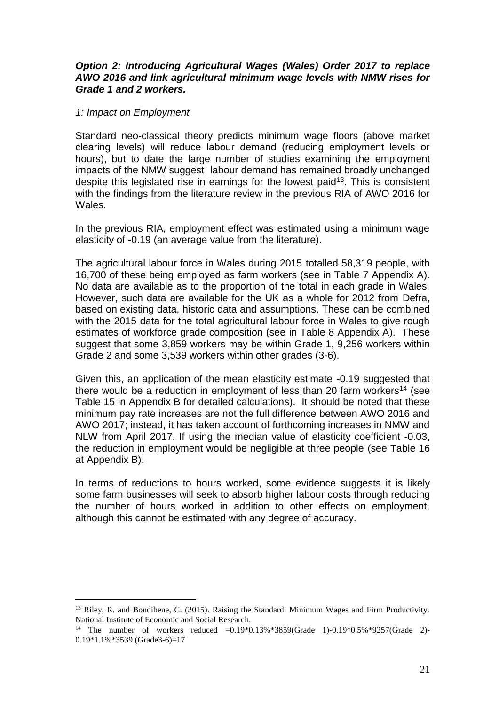#### *Option 2: Introducing Agricultural Wages (Wales) Order 2017 to replace AWO 2016 and link agricultural minimum wage levels with NMW rises for Grade 1 and 2 workers.*

#### *1: Impact on Employment*

1

Standard neo-classical theory predicts minimum wage floors (above market clearing levels) will reduce labour demand (reducing employment levels or hours), but to date the large number of studies examining the employment impacts of the NMW suggest labour demand has remained broadly unchanged despite this legislated rise in earnings for the lowest paid<sup>13</sup>. This is consistent with the findings from the literature review in the previous RIA of AWO 2016 for Wales.

In the previous RIA, employment effect was estimated using a minimum wage elasticity of -0.19 (an average value from the literature).

The agricultural labour force in Wales during 2015 totalled 58,319 people, with 16,700 of these being employed as farm workers (see in Table 7 Appendix A). No data are available as to the proportion of the total in each grade in Wales. However, such data are available for the UK as a whole for 2012 from Defra, based on existing data, historic data and assumptions. These can be combined with the 2015 data for the total agricultural labour force in Wales to give rough estimates of workforce grade composition (see in Table 8 Appendix A). These suggest that some 3,859 workers may be within Grade 1, 9,256 workers within Grade 2 and some 3,539 workers within other grades (3-6).

Given this, an application of the mean elasticity estimate -0.19 suggested that there would be a reduction in employment of less than 20 farm workers<sup>14</sup> (see Table 15 in Appendix B for detailed calculations). It should be noted that these minimum pay rate increases are not the full difference between AWO 2016 and AWO 2017; instead, it has taken account of forthcoming increases in NMW and NLW from April 2017. If using the median value of elasticity coefficient -0.03, the reduction in employment would be negligible at three people (see Table 16 at Appendix B).

In terms of reductions to hours worked, some evidence suggests it is likely some farm businesses will seek to absorb higher labour costs through reducing the number of hours worked in addition to other effects on employment, although this cannot be estimated with any degree of accuracy.

<sup>&</sup>lt;sup>13</sup> Riley, R. and Bondibene, C. (2015). Raising the Standard: Minimum Wages and Firm Productivity. National Institute of Economic and Social Research.

<sup>&</sup>lt;sup>14</sup> The number of workers reduced =0.19 $*0.13\%*3859$ (Grade 1)-0.19 $*0.5\%*9257$ (Grade 2)-0.19\*1.1%\*3539 (Grade3-6)=17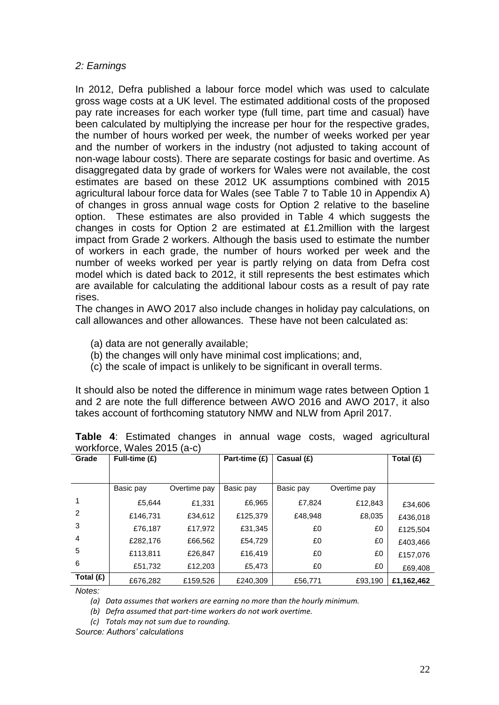## *2: Earnings*

In 2012, Defra published a labour force model which was used to calculate gross wage costs at a UK level. The estimated additional costs of the proposed pay rate increases for each worker type (full time, part time and casual) have been calculated by multiplying the increase per hour for the respective grades, the number of hours worked per week, the number of weeks worked per year and the number of workers in the industry (not adjusted to taking account of non-wage labour costs). There are separate costings for basic and overtime. As disaggregated data by grade of workers for Wales were not available, the cost estimates are based on these 2012 UK assumptions combined with 2015 agricultural labour force data for Wales (see Table 7 to Table 10 in Appendix A) of changes in gross annual wage costs for Option 2 relative to the baseline option. These estimates are also provided in Table 4 which suggests the changes in costs for Option 2 are estimated at £1.2million with the largest impact from Grade 2 workers. Although the basis used to estimate the number of workers in each grade, the number of hours worked per week and the number of weeks worked per year is partly relying on data from Defra cost model which is dated back to 2012, it still represents the best estimates which are available for calculating the additional labour costs as a result of pay rate rises.

The changes in AWO 2017 also include changes in holiday pay calculations, on call allowances and other allowances. These have not been calculated as:

- (a) data are not generally available;
- (b) the changes will only have minimal cost implications; and,
- (c) the scale of impact is unlikely to be significant in overall terms.

It should also be noted the difference in minimum wage rates between Option 1 and 2 are note the full difference between AWO 2016 and AWO 2017, it also takes account of forthcoming statutory NMW and NLW from April 2017.

|                | $W$ UINUICE, $W$ ales $ZU$ IJ $W$ |              |               |            |              |             |
|----------------|-----------------------------------|--------------|---------------|------------|--------------|-------------|
| Grade          | Full-time (£)                     |              | Part-time (£) | Casual (£) |              | Total $(E)$ |
|                |                                   |              |               |            |              |             |
|                |                                   |              |               |            |              |             |
|                | Basic pay                         | Overtime pay | Basic pay     | Basic pay  | Overtime pay |             |
| 1              | £5.644                            | £1,331       | £6,965        | £7.824     | £12,843      | £34,606     |
|                |                                   |              |               |            |              |             |
| $\overline{2}$ | £146,731                          | £34,612      | £125,379      | £48,948    | £8,035       | £436,018    |
| 3              | £76.187                           | £17,972      | £31,345       | £0         | £0           | £125,504    |
| 4              | £282,176                          | £66,562      | £54,729       | £0         | £0           | £403,466    |
| 5              | £113,811                          | £26,847      | £16,419       | £0         | £0           | £157,076    |
| 6              | £51,732                           | £12,203      | £5,473        | £0         | £0           | £69,408     |
| Total (£)      | £676,282                          | £159.526     | £240.309      | £56.771    | £93.190      | £1,162,462  |

|  |                             |  |  |  | Table 4: Estimated changes in annual wage costs, waged agricultural |
|--|-----------------------------|--|--|--|---------------------------------------------------------------------|
|  | workforce, Wales 2015 (a-c) |  |  |  |                                                                     |

*Notes:*

*(a) Data assumes that workers are earning no more than the hourly minimum.*

*(b) Defra assumed that part-time workers do not work overtime.*

*(c) Totals may not sum due to rounding.*

*Source: Authors' calculations*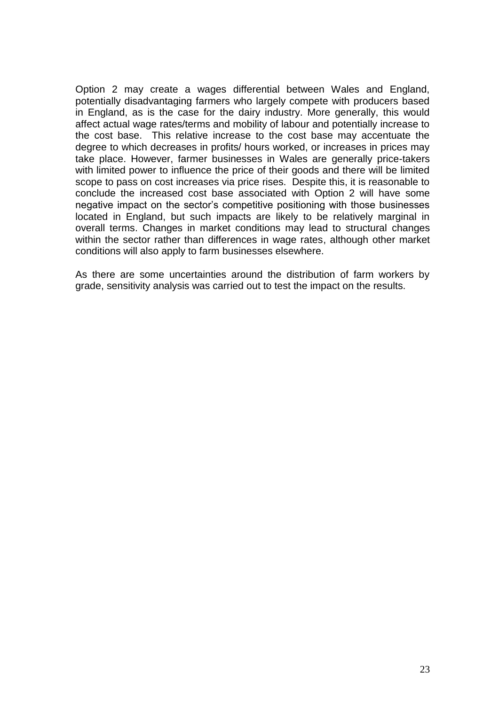Option 2 may create a wages differential between Wales and England, potentially disadvantaging farmers who largely compete with producers based in England, as is the case for the dairy industry. More generally, this would affect actual wage rates/terms and mobility of labour and potentially increase to the cost base. This relative increase to the cost base may accentuate the degree to which decreases in profits/ hours worked, or increases in prices may take place. However, farmer businesses in Wales are generally price-takers with limited power to influence the price of their goods and there will be limited scope to pass on cost increases via price rises. Despite this, it is reasonable to conclude the increased cost base associated with Option 2 will have some negative impact on the sector's competitive positioning with those businesses located in England, but such impacts are likely to be relatively marginal in overall terms. Changes in market conditions may lead to structural changes within the sector rather than differences in wage rates, although other market conditions will also apply to farm businesses elsewhere.

As there are some uncertainties around the distribution of farm workers by grade, sensitivity analysis was carried out to test the impact on the results.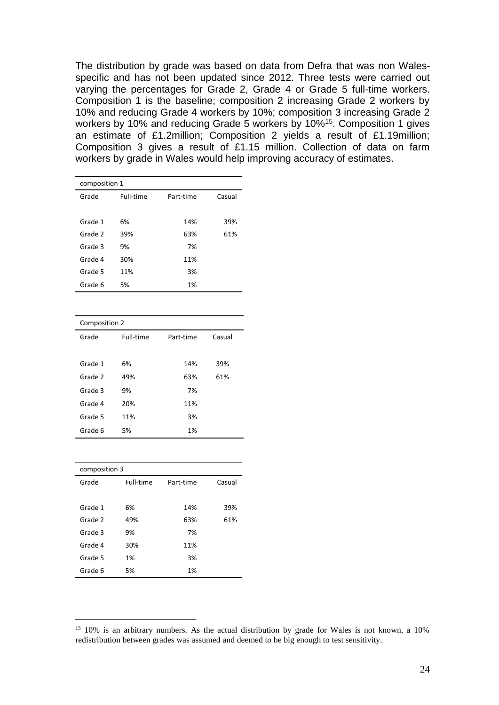The distribution by grade was based on data from Defra that was non Walesspecific and has not been updated since 2012. Three tests were carried out varying the percentages for Grade 2, Grade 4 or Grade 5 full-time workers. Composition 1 is the baseline; composition 2 increasing Grade 2 workers by 10% and reducing Grade 4 workers by 10%; composition 3 increasing Grade 2 workers by 10% and reducing Grade 5 workers by 10%<sup>15</sup>. Composition 1 gives an estimate of £1.2million; Composition 2 yields a result of £1.19million; Composition 3 gives a result of £1.15 million. Collection of data on farm workers by grade in Wales would help improving accuracy of estimates.

| composition 1 |           |           |        |  |  |  |  |
|---------------|-----------|-----------|--------|--|--|--|--|
| Grade         | Full-time | Part-time | Casual |  |  |  |  |
|               |           |           |        |  |  |  |  |
|               |           |           |        |  |  |  |  |
| Grade 1       | 6%        | 14%       | 39%    |  |  |  |  |
|               |           |           |        |  |  |  |  |
| Grade 2       | 39%       | 63%       | 61%    |  |  |  |  |
| Grade 3       | 9%        | 7%        |        |  |  |  |  |
|               |           |           |        |  |  |  |  |
| Grade 4       | 30%       | 11%       |        |  |  |  |  |
|               |           |           |        |  |  |  |  |
| Grade 5       | 11%       | 3%        |        |  |  |  |  |
|               |           |           |        |  |  |  |  |
| Grade 6       | 5%        | 1%        |        |  |  |  |  |
|               |           |           |        |  |  |  |  |

| Composition 2 |           |           |        |  |  |  |
|---------------|-----------|-----------|--------|--|--|--|
| Grade         | Full-time | Part-time | Casual |  |  |  |
|               |           |           |        |  |  |  |
| Grade 1       | 6%        | 14%       | 39%    |  |  |  |
| Grade 2       | 49%       | 63%       | 61%    |  |  |  |
| Grade 3       | 9%        | 7%        |        |  |  |  |
| Grade 4       | 20%       | 11%       |        |  |  |  |
| Grade 5       | 11%       | 3%        |        |  |  |  |
| Grade 6       | 5%        | 1%        |        |  |  |  |

| composition 3 |           |           |        |  |  |  |
|---------------|-----------|-----------|--------|--|--|--|
| Grade         | Full-time | Part-time | Casual |  |  |  |
|               |           |           |        |  |  |  |
| Grade 1       | 6%        | 14%       | 39%    |  |  |  |
| Grade 2       | 49%       | 63%       | 61%    |  |  |  |
| Grade 3       | 9%        | 7%        |        |  |  |  |
| Grade 4       | 30%       | 11%       |        |  |  |  |
| Grade 5       | 1%        | 3%        |        |  |  |  |
| Grade 6       | 5%        | 1%        |        |  |  |  |

 $15$  10% is an arbitrary numbers. As the actual distribution by grade for Wales is not known, a 10% redistribution between grades was assumed and deemed to be big enough to test sensitivity.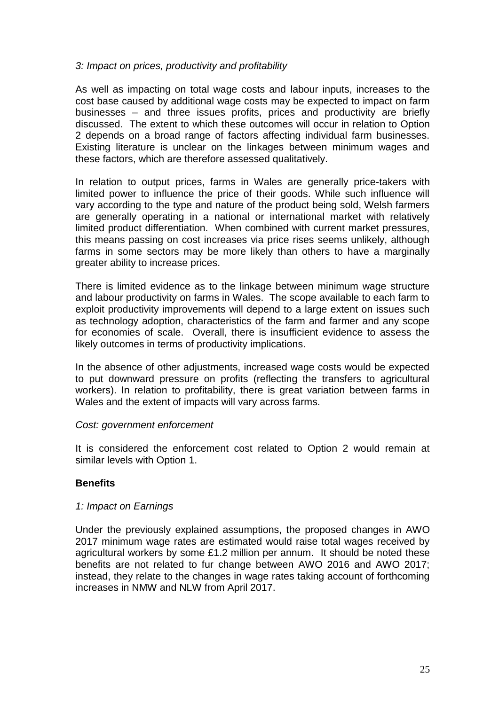#### *3: Impact on prices, productivity and profitability*

As well as impacting on total wage costs and labour inputs, increases to the cost base caused by additional wage costs may be expected to impact on farm businesses – and three issues profits, prices and productivity are briefly discussed. The extent to which these outcomes will occur in relation to Option 2 depends on a broad range of factors affecting individual farm businesses. Existing literature is unclear on the linkages between minimum wages and these factors, which are therefore assessed qualitatively.

In relation to output prices, farms in Wales are generally price-takers with limited power to influence the price of their goods. While such influence will vary according to the type and nature of the product being sold, Welsh farmers are generally operating in a national or international market with relatively limited product differentiation. When combined with current market pressures, this means passing on cost increases via price rises seems unlikely, although farms in some sectors may be more likely than others to have a marginally greater ability to increase prices.

There is limited evidence as to the linkage between minimum wage structure and labour productivity on farms in Wales. The scope available to each farm to exploit productivity improvements will depend to a large extent on issues such as technology adoption, characteristics of the farm and farmer and any scope for economies of scale. Overall, there is insufficient evidence to assess the likely outcomes in terms of productivity implications.

In the absence of other adjustments, increased wage costs would be expected to put downward pressure on profits (reflecting the transfers to agricultural workers). In relation to profitability, there is great variation between farms in Wales and the extent of impacts will vary across farms.

#### *Cost: government enforcement*

It is considered the enforcement cost related to Option 2 would remain at similar levels with Option 1.

#### **Benefits**

#### *1: Impact on Earnings*

Under the previously explained assumptions, the proposed changes in AWO 2017 minimum wage rates are estimated would raise total wages received by agricultural workers by some £1.2 million per annum. It should be noted these benefits are not related to fur change between AWO 2016 and AWO 2017; instead, they relate to the changes in wage rates taking account of forthcoming increases in NMW and NLW from April 2017.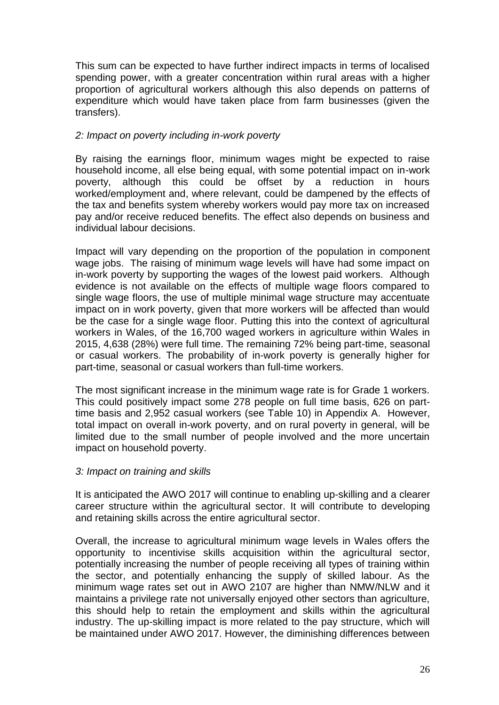This sum can be expected to have further indirect impacts in terms of localised spending power, with a greater concentration within rural areas with a higher proportion of agricultural workers although this also depends on patterns of expenditure which would have taken place from farm businesses (given the transfers).

# *2: Impact on poverty including in-work poverty*

By raising the earnings floor, minimum wages might be expected to raise household income, all else being equal, with some potential impact on in-work poverty, although this could be offset by a reduction in hours worked/employment and, where relevant, could be dampened by the effects of the tax and benefits system whereby workers would pay more tax on increased pay and/or receive reduced benefits. The effect also depends on business and individual labour decisions.

Impact will vary depending on the proportion of the population in component wage jobs. The raising of minimum wage levels will have had some impact on in-work poverty by supporting the wages of the lowest paid workers. Although evidence is not available on the effects of multiple wage floors compared to single wage floors, the use of multiple minimal wage structure may accentuate impact on in work poverty, given that more workers will be affected than would be the case for a single wage floor. Putting this into the context of agricultural workers in Wales, of the 16,700 waged workers in agriculture within Wales in 2015, 4,638 (28%) were full time. The remaining 72% being part-time, seasonal or casual workers. The probability of in-work poverty is generally higher for part-time, seasonal or casual workers than full-time workers.

The most significant increase in the minimum wage rate is for Grade 1 workers. This could positively impact some 278 people on full time basis, 626 on parttime basis and 2,952 casual workers (see Table 10) in Appendix A. However, total impact on overall in-work poverty, and on rural poverty in general, will be limited due to the small number of people involved and the more uncertain impact on household poverty.

#### *3: Impact on training and skills*

It is anticipated the AWO 2017 will continue to enabling up-skilling and a clearer career structure within the agricultural sector. It will contribute to developing and retaining skills across the entire agricultural sector.

Overall, the increase to agricultural minimum wage levels in Wales offers the opportunity to incentivise skills acquisition within the agricultural sector, potentially increasing the number of people receiving all types of training within the sector, and potentially enhancing the supply of skilled labour. As the minimum wage rates set out in AWO 2107 are higher than NMW/NLW and it maintains a privilege rate not universally enjoyed other sectors than agriculture, this should help to retain the employment and skills within the agricultural industry. The up-skilling impact is more related to the pay structure, which will be maintained under AWO 2017. However, the diminishing differences between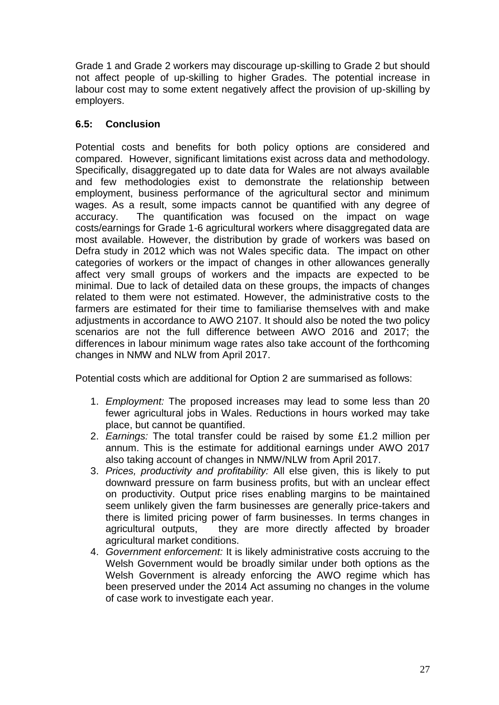Grade 1 and Grade 2 workers may discourage up-skilling to Grade 2 but should not affect people of up-skilling to higher Grades. The potential increase in labour cost may to some extent negatively affect the provision of up-skilling by employers.

# **6.5: Conclusion**

Potential costs and benefits for both policy options are considered and compared. However, significant limitations exist across data and methodology. Specifically, disaggregated up to date data for Wales are not always available and few methodologies exist to demonstrate the relationship between employment, business performance of the agricultural sector and minimum wages. As a result, some impacts cannot be quantified with any degree of accuracy. The quantification was focused on the impact on wage costs/earnings for Grade 1-6 agricultural workers where disaggregated data are most available. However, the distribution by grade of workers was based on Defra study in 2012 which was not Wales specific data. The impact on other categories of workers or the impact of changes in other allowances generally affect very small groups of workers and the impacts are expected to be minimal. Due to lack of detailed data on these groups, the impacts of changes related to them were not estimated. However, the administrative costs to the farmers are estimated for their time to familiarise themselves with and make adjustments in accordance to AWO 2107. It should also be noted the two policy scenarios are not the full difference between AWO 2016 and 2017; the differences in labour minimum wage rates also take account of the forthcoming changes in NMW and NLW from April 2017.

Potential costs which are additional for Option 2 are summarised as follows:

- 1. *Employment:* The proposed increases may lead to some less than 20 fewer agricultural jobs in Wales. Reductions in hours worked may take place, but cannot be quantified.
- 2. *Earnings:* The total transfer could be raised by some £1.2 million per annum. This is the estimate for additional earnings under AWO 2017 also taking account of changes in NMW/NLW from April 2017.
- 3. *Prices, productivity and profitability:* All else given, this is likely to put downward pressure on farm business profits, but with an unclear effect on productivity. Output price rises enabling margins to be maintained seem unlikely given the farm businesses are generally price-takers and there is limited pricing power of farm businesses. In terms changes in agricultural outputs, they are more directly affected by broader agricultural market conditions.
- 4. *Government enforcement:* It is likely administrative costs accruing to the Welsh Government would be broadly similar under both options as the Welsh Government is already enforcing the AWO regime which has been preserved under the 2014 Act assuming no changes in the volume of case work to investigate each year.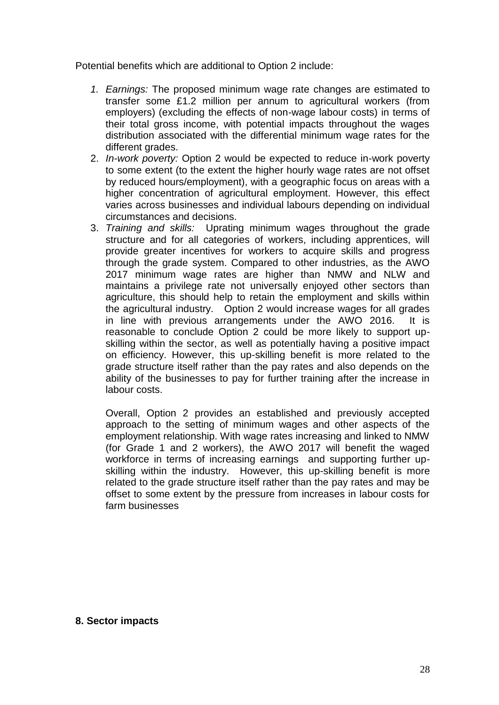Potential benefits which are additional to Option 2 include:

- *1. Earnings:* The proposed minimum wage rate changes are estimated to transfer some £1.2 million per annum to agricultural workers (from employers) (excluding the effects of non-wage labour costs) in terms of their total gross income, with potential impacts throughout the wages distribution associated with the differential minimum wage rates for the different grades.
- 2. *In-work poverty:* Option 2 would be expected to reduce in-work poverty to some extent (to the extent the higher hourly wage rates are not offset by reduced hours/employment), with a geographic focus on areas with a higher concentration of agricultural employment. However, this effect varies across businesses and individual labours depending on individual circumstances and decisions.
- 3. *Training and skills:* Uprating minimum wages throughout the grade structure and for all categories of workers, including apprentices, will provide greater incentives for workers to acquire skills and progress through the grade system. Compared to other industries, as the AWO 2017 minimum wage rates are higher than NMW and NLW and maintains a privilege rate not universally enjoyed other sectors than agriculture, this should help to retain the employment and skills within the agricultural industry. Option 2 would increase wages for all grades in line with previous arrangements under the AWO 2016. It is reasonable to conclude Option 2 could be more likely to support upskilling within the sector, as well as potentially having a positive impact on efficiency. However, this up-skilling benefit is more related to the grade structure itself rather than the pay rates and also depends on the ability of the businesses to pay for further training after the increase in labour costs.

Overall, Option 2 provides an established and previously accepted approach to the setting of minimum wages and other aspects of the employment relationship. With wage rates increasing and linked to NMW (for Grade 1 and 2 workers), the AWO 2017 will benefit the waged workforce in terms of increasing earnings and supporting further upskilling within the industry. However, this up-skilling benefit is more related to the grade structure itself rather than the pay rates and may be offset to some extent by the pressure from increases in labour costs for farm businesses

#### **8. Sector impacts**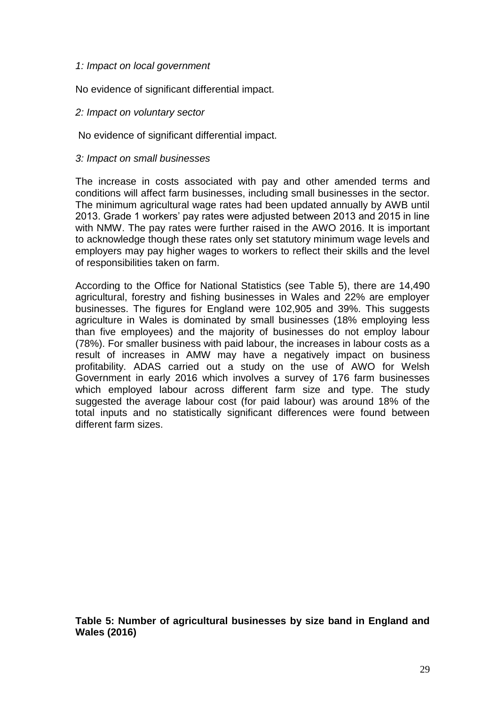#### *1: Impact on local government*

No evidence of significant differential impact.

#### *2: Impact on voluntary sector*

No evidence of significant differential impact.

#### *3: Impact on small businesses*

The increase in costs associated with pay and other amended terms and conditions will affect farm businesses, including small businesses in the sector. The minimum agricultural wage rates had been updated annually by AWB until 2013. Grade 1 workers' pay rates were adjusted between 2013 and 2015 in line with NMW. The pay rates were further raised in the AWO 2016. It is important to acknowledge though these rates only set statutory minimum wage levels and employers may pay higher wages to workers to reflect their skills and the level of responsibilities taken on farm.

According to the Office for National Statistics (see Table 5), there are 14,490 agricultural, forestry and fishing businesses in Wales and 22% are employer businesses. The figures for England were 102,905 and 39%. This suggests agriculture in Wales is dominated by small businesses (18% employing less than five employees) and the majority of businesses do not employ labour (78%). For smaller business with paid labour, the increases in labour costs as a result of increases in AMW may have a negatively impact on business profitability. ADAS carried out a study on the use of AWO for Welsh Government in early 2016 which involves a survey of 176 farm businesses which employed labour across different farm size and type. The study suggested the average labour cost (for paid labour) was around 18% of the total inputs and no statistically significant differences were found between different farm sizes.

**Table 5: Number of agricultural businesses by size band in England and Wales (2016)**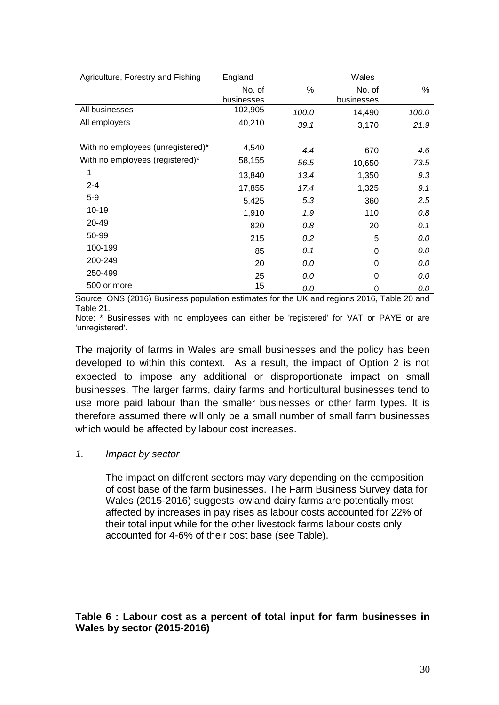| Agriculture, Forestry and Fishing | England    |       | Wales      |       |
|-----------------------------------|------------|-------|------------|-------|
|                                   | No. of     | %     | No. of     | %     |
|                                   | businesses |       | businesses |       |
| All businesses                    | 102,905    | 100.0 | 14,490     | 100.0 |
| All employers                     | 40,210     | 39.1  | 3,170      | 21.9  |
| With no employees (unregistered)* | 4,540      | 4.4   | 670        | 4.6   |
| With no employees (registered)*   | 58,155     | 56.5  | 10,650     | 73.5  |
| 1                                 | 13,840     | 13.4  | 1,350      | 9.3   |
| $2 - 4$                           | 17,855     | 17.4  | 1,325      | 9.1   |
| $5-9$                             | 5,425      | 5.3   | 360        | 2.5   |
| $10 - 19$                         | 1,910      | 1.9   | 110        | 0.8   |
| 20-49                             | 820        | 0.8   | 20         | 0.1   |
| 50-99                             | 215        | 0.2   | 5          | 0.0   |
| 100-199                           | 85         | 0.1   | 0          | 0.0   |
| 200-249                           | 20         | 0.0   | 0          | 0.0   |
| 250-499                           | 25         | 0.0   | $\Omega$   | 0.0   |
| 500 or more                       | 15         | 0.0   | 0          | 0.0   |

Source: ONS (2016) Business population estimates for the UK and regions 2016, Table 20 and Table 21.

Note: \* Businesses with no employees can either be 'registered' for VAT or PAYE or are 'unregistered'.

The majority of farms in Wales are small businesses and the policy has been developed to within this context. As a result, the impact of Option 2 is not expected to impose any additional or disproportionate impact on small businesses. The larger farms, dairy farms and horticultural businesses tend to use more paid labour than the smaller businesses or other farm types. It is therefore assumed there will only be a small number of small farm businesses which would be affected by labour cost increases.

#### *1. Impact by sector*

The impact on different sectors may vary depending on the composition of cost base of the farm businesses. The Farm Business Survey data for Wales (2015-2016) suggests lowland dairy farms are potentially most affected by increases in pay rises as labour costs accounted for 22% of their total input while for the other livestock farms labour costs only accounted for 4-6% of their cost base (see Table).

# **Table 6 : Labour cost as a percent of total input for farm businesses in Wales by sector (2015-2016)**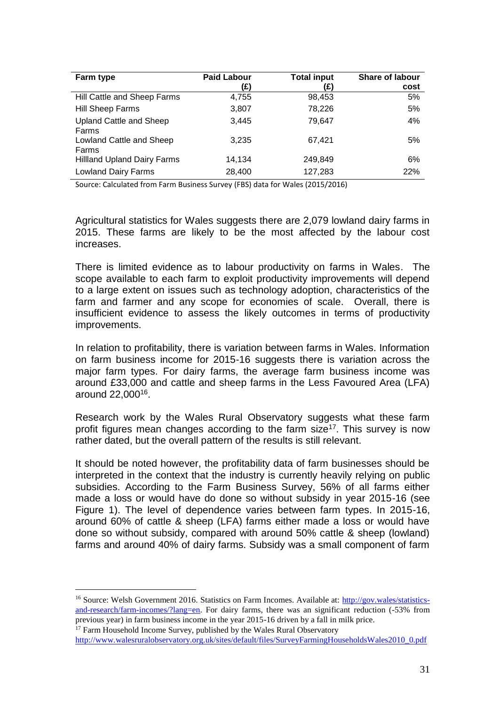| Farm type                               | <b>Paid Labour</b><br>(£) | <b>Total input</b><br>(£) | <b>Share of labour</b><br>cost |
|-----------------------------------------|---------------------------|---------------------------|--------------------------------|
| Hill Cattle and Sheep Farms             | 4,755                     | 98,453                    | 5%                             |
| Hill Sheep Farms                        | 3,807                     | 78,226                    | 5%                             |
| <b>Upland Cattle and Sheep</b><br>Farms | 3,445                     | 79.647                    | 4%                             |
| Lowland Cattle and Sheep<br>Farms       | 3,235                     | 67,421                    | 5%                             |
| <b>Hilland Upland Dairy Farms</b>       | 14.134                    | 249.849                   | 6%                             |
| <b>Lowland Dairy Farms</b>              | 28,400                    | 127,283                   | 22%                            |

Source: Calculated from Farm Business Survey (FBS) data for Wales (2015/2016)

Agricultural statistics for Wales suggests there are 2,079 lowland dairy farms in 2015. These farms are likely to be the most affected by the labour cost increases.

There is limited evidence as to labour productivity on farms in Wales. The scope available to each farm to exploit productivity improvements will depend to a large extent on issues such as technology adoption, characteristics of the farm and farmer and any scope for economies of scale. Overall, there is insufficient evidence to assess the likely outcomes in terms of productivity improvements.

In relation to profitability, there is variation between farms in Wales. Information on farm business income for 2015-16 suggests there is variation across the major farm types. For dairy farms, the average farm business income was around £33,000 and cattle and sheep farms in the Less Favoured Area (LFA) around 22,000<sup>16</sup> .

Research work by the Wales Rural Observatory suggests what these farm profit figures mean changes according to the farm size<sup>17</sup>. This survey is now rather dated, but the overall pattern of the results is still relevant.

It should be noted however, the profitability data of farm businesses should be interpreted in the context that the industry is currently heavily relying on public subsidies. According to the Farm Business Survey, 56% of all farms either made a loss or would have do done so without subsidy in year 2015-16 (see Figure 1). The level of dependence varies between farm types. In 2015-16, around 60% of cattle & sheep (LFA) farms either made a loss or would have done so without subsidy, compared with around 50% cattle & sheep (lowland) farms and around 40% of dairy farms. Subsidy was a small component of farm

<sup>&</sup>lt;sup>16</sup> Source: Welsh Government 2016. Statistics on Farm Incomes. Available at: [http://gov.wales/statistics](http://gov.wales/statistics-and-research/farm-incomes/?lang=en)[and-research/farm-incomes/?lang=en.](http://gov.wales/statistics-and-research/farm-incomes/?lang=en) For dairy farms, there was an significant reduction (-53% from previous year) in farm business income in the year 2015-16 driven by a fall in milk price.

 $17$  Farm Household Income Survey, published by the Wales Rural Observatory [http://www.walesruralobservatory.org.uk/sites/default/files/SurveyFarmingHouseholdsWales2010\\_0.pdf](http://www.walesruralobservatory.org.uk/sites/default/files/SurveyFarmingHouseholdsWales2010_0.pdf)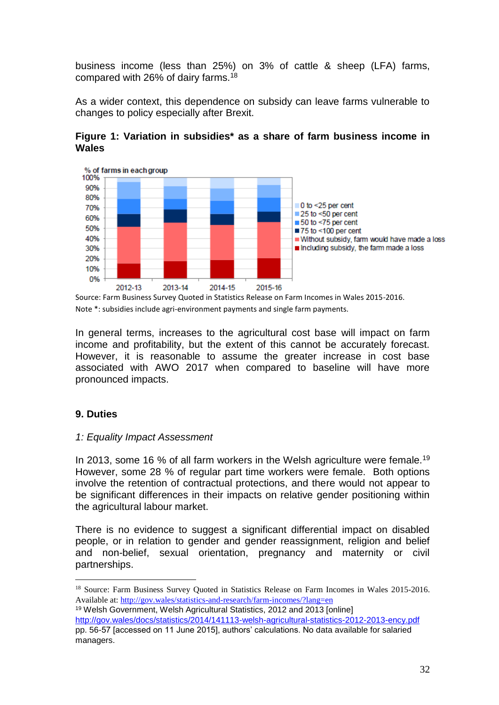business income (less than 25%) on 3% of cattle & sheep (LFA) farms, compared with 26% of dairy farms.<sup>18</sup>

As a wider context, this dependence on subsidy can leave farms vulnerable to changes to policy especially after Brexit.



## **Figure 1: Variation in subsidies\* as a share of farm business income in Wales**

Source: Farm Business Survey Quoted in Statistics Release on Farm Incomes in Wales 2015-2016. Note \*: subsidies include agri-environment payments and single farm payments.

In general terms, increases to the agricultural cost base will impact on farm income and profitability, but the extent of this cannot be accurately forecast. However, it is reasonable to assume the greater increase in cost base associated with AWO 2017 when compared to baseline will have more pronounced impacts.

# **9. Duties**

1

#### *1: Equality Impact Assessment*

In 2013, some 16 % of all farm workers in the Welsh agriculture were female.<sup>19</sup> However, some 28 % of regular part time workers were female. Both options involve the retention of contractual protections, and there would not appear to be significant differences in their impacts on relative gender positioning within the agricultural labour market.

There is no evidence to suggest a significant differential impact on disabled people, or in relation to gender and gender reassignment, religion and belief and non-belief, sexual orientation, pregnancy and maternity or civil partnerships.

<sup>19</sup> Welsh Government, Welsh Agricultural Statistics, 2012 and 2013 [online]

<sup>&</sup>lt;sup>18</sup> Source: Farm Business Survey Quoted in Statistics Release on Farm Incomes in Wales 2015-2016. Available at:<http://gov.wales/statistics-and-research/farm-incomes/?lang=en>

<http://gov.wales/docs/statistics/2014/141113-welsh-agricultural-statistics-2012-2013-ency.pdf> pp. 56-57 [accessed on 11 June 2015], authors' calculations. No data available for salaried managers.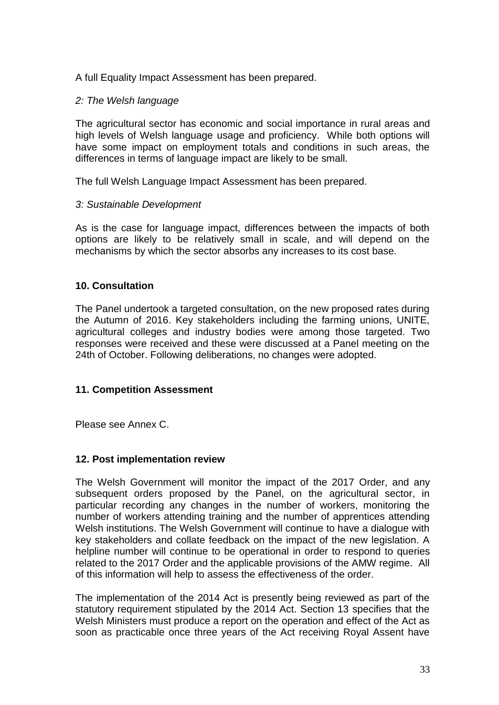A full Equality Impact Assessment has been prepared.

# *2: The Welsh language*

The agricultural sector has economic and social importance in rural areas and high levels of Welsh language usage and proficiency. While both options will have some impact on employment totals and conditions in such areas, the differences in terms of language impact are likely to be small.

The full Welsh Language Impact Assessment has been prepared.

#### *3: Sustainable Development*

As is the case for language impact, differences between the impacts of both options are likely to be relatively small in scale, and will depend on the mechanisms by which the sector absorbs any increases to its cost base.

#### **10. Consultation**

The Panel undertook a targeted consultation, on the new proposed rates during the Autumn of 2016. Key stakeholders including the farming unions, UNITE, agricultural colleges and industry bodies were among those targeted. Two responses were received and these were discussed at a Panel meeting on the 24th of October. Following deliberations, no changes were adopted.

#### **11. Competition Assessment**

Please see Annex C.

#### **12. Post implementation review**

The Welsh Government will monitor the impact of the 2017 Order, and any subsequent orders proposed by the Panel, on the agricultural sector, in particular recording any changes in the number of workers, monitoring the number of workers attending training and the number of apprentices attending Welsh institutions. The Welsh Government will continue to have a dialogue with key stakeholders and collate feedback on the impact of the new legislation. A helpline number will continue to be operational in order to respond to queries related to the 2017 Order and the applicable provisions of the AMW regime. All of this information will help to assess the effectiveness of the order.

The implementation of the 2014 Act is presently being reviewed as part of the statutory requirement stipulated by the 2014 Act. Section 13 specifies that the Welsh Ministers must produce a report on the operation and effect of the Act as soon as practicable once three years of the Act receiving Royal Assent have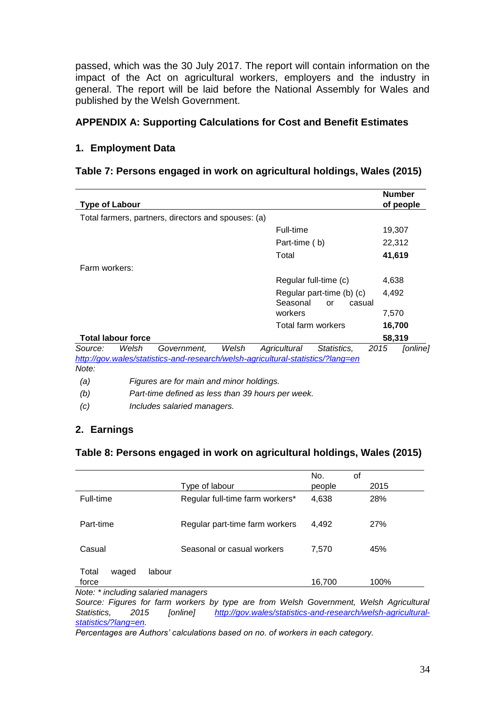passed, which was the 30 July 2017. The report will contain information on the impact of the Act on agricultural workers, employers and the industry in general. The report will be laid before the National Assembly for Wales and published by the Welsh Government.

# **APPENDIX A: Supporting Calculations for Cost and Benefit Estimates**

# **1. Employment Data**

| Table 7: Persons engaged in work on agricultural holdings, Wales (2015) |  |
|-------------------------------------------------------------------------|--|

| <b>Type of Labour</b> |                           |                                                                                 |       |                    |                                           |       | <b>Number</b><br>of people |
|-----------------------|---------------------------|---------------------------------------------------------------------------------|-------|--------------------|-------------------------------------------|-------|----------------------------|
|                       |                           | Total farmers, partners, directors and spouses: (a)                             |       |                    |                                           |       |                            |
|                       |                           |                                                                                 |       | Full-time          |                                           |       | 19,307                     |
|                       |                           |                                                                                 |       | Part-time (b)      |                                           |       | 22,312                     |
|                       |                           |                                                                                 |       | Total              |                                           |       | 41,619                     |
| Farm workers:         |                           |                                                                                 |       |                    |                                           |       |                            |
|                       |                           |                                                                                 |       |                    | Regular full-time (c)                     | 4,638 |                            |
|                       |                           |                                                                                 |       | Seasonal           | Regular part-time (b) (c)<br>casual<br>or | 4,492 |                            |
|                       |                           |                                                                                 |       | workers            |                                           | 7,570 |                            |
|                       |                           |                                                                                 |       | Total farm workers |                                           |       | 16,700                     |
|                       | <b>Total labour force</b> |                                                                                 |       |                    |                                           |       | 58,319                     |
| Source:               | Welsh                     | Government,                                                                     | Welsh | Agricultural       | Statistics.                               | 2015  | [online]                   |
|                       |                           | http://gov.wales/statistics-and-research/welsh-agricultural-statistics/?lang=en |       |                    |                                           |       |                            |
| Note:                 |                           |                                                                                 |       |                    |                                           |       |                            |
| (a)                   |                           | Figures are for main and minor holdings.                                        |       |                    |                                           |       |                            |
|                       |                           |                                                                                 |       |                    |                                           |       |                            |

*(b) Part-time defined as less than 39 hours per week.*

*(c) Includes salaried managers.*

# **2. Earnings**

# **Table 8: Persons engaged in work on agricultural holdings, Wales (2015)**

|                                     | Type of labour                  | No.<br>οf<br>people | 2015 |  |  |  |  |  |
|-------------------------------------|---------------------------------|---------------------|------|--|--|--|--|--|
| Full-time                           | Regular full-time farm workers* | 4,638               | 28%  |  |  |  |  |  |
| Part-time                           | Regular part-time farm workers  | 4,492               | 27%  |  |  |  |  |  |
| Casual                              | Seasonal or casual workers      | 7,570               | 45%  |  |  |  |  |  |
| Total<br>waged<br>labour<br>force   |                                 | 16,700              | 100% |  |  |  |  |  |
| Note: * including salaried managers |                                 |                     |      |  |  |  |  |  |

*Source: Figures for farm workers by type are from Welsh Government, Welsh Agricultural*  Statistics, 2015 [online] [http://gov.wales/statistics-and-research/welsh-agricultural](http://gov.wales/statistics-and-research/welsh-agricultural-statistics/?lang=en)*[statistics/?lang=en.](http://gov.wales/statistics-and-research/welsh-agricultural-statistics/?lang=en)* 

*Percentages are Authors' calculations based on no. of workers in each category.*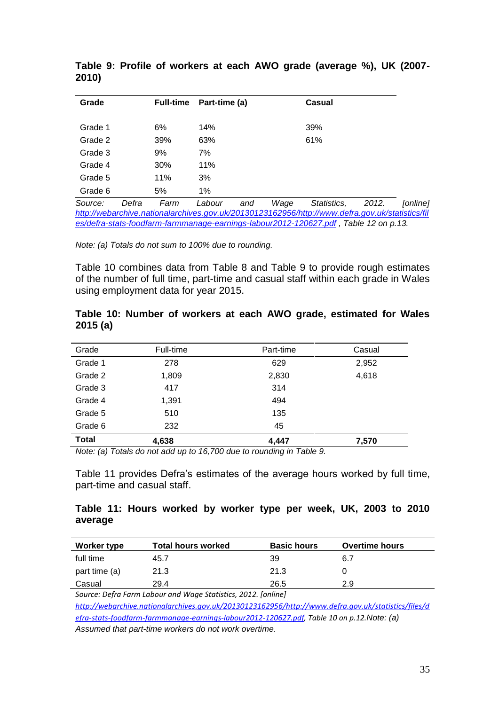| Grade   |       | <b>Full-time</b> | Part-time (a) |     |      | Casual      |       |          |
|---------|-------|------------------|---------------|-----|------|-------------|-------|----------|
| Grade 1 |       | 6%               | 14%           |     |      | 39%         |       |          |
| Grade 2 |       | 39%              | 63%           |     |      | 61%         |       |          |
| Grade 3 |       | 9%               | 7%            |     |      |             |       |          |
| Grade 4 |       | 30%              | 11%           |     |      |             |       |          |
| Grade 5 |       | 11%              | 3%            |     |      |             |       |          |
| Grade 6 |       | 5%               | 1%            |     |      |             |       |          |
| Source: | Defra | Farm             | Labour        | and | Wage | Statistics, | 2012. | [online] |

**Table 9: Profile of workers at each AWO grade (average %), UK (2007- 2010)** 

*[http://webarchive.nationalarchives.gov.uk/20130123162956/http://www.defra.gov.uk/statistics/fil](http://webarchive.nationalarchives.gov.uk/20130123162956/http:/www.defra.gov.uk/statistics/files/defra-stats-foodfarm-farmmanage-earnings-labour2012-120627.pdf) [es/defra-stats-foodfarm-farmmanage-earnings-labour2012-120627.pdf](http://webarchive.nationalarchives.gov.uk/20130123162956/http:/www.defra.gov.uk/statistics/files/defra-stats-foodfarm-farmmanage-earnings-labour2012-120627.pdf) , Table 12 on p.13.*

*Note: (a) Totals do not sum to 100% due to rounding.*

Table 10 combines data from Table 8 and Table 9 to provide rough estimates of the number of full time, part-time and casual staff within each grade in Wales using employment data for year 2015.

#### **Table 10: Number of workers at each AWO grade, estimated for Wales 2015 (a)**

| Grade        | Full-time                                          | Part-time                                    | Casual |
|--------------|----------------------------------------------------|----------------------------------------------|--------|
| Grade 1      | 278                                                | 629                                          | 2,952  |
| Grade 2      | 1,809                                              | 2,830                                        | 4,618  |
| Grade 3      | 417                                                | 314                                          |        |
| Grade 4      | 1,391                                              | 494                                          |        |
| Grade 5      | 510                                                | 135                                          |        |
| Grade 6      | 232                                                | 45                                           |        |
| <b>Total</b> | 4,638<br>$\sim$ $\sim$ $\sim$ $\sim$ $\sim$ $\sim$ | 4,447<br><br>$\cdot$ $ \cdot$ $\cdot$ $\sim$ | 7,570  |

*Note: (a) Totals do not add up to 16,700 due to rounding in Table 9.*

Table 11 provides Defra's estimates of the average hours worked by full time, part-time and casual staff.

#### **Table 11: Hours worked by worker type per week, UK, 2003 to 2010 average**

| Worker type   | <b>Total hours worked</b> | <b>Basic hours</b> | <b>Overtime hours</b> |
|---------------|---------------------------|--------------------|-----------------------|
| full time     | 45.7                      | 39                 | 6.7                   |
| part time (a) | 21.3                      | 21.3               |                       |
| Casual        | 29.4                      | 26.5               | 2.9                   |

*Source: Defra Farm Labour and Wage Statistics, 2012. [online] [http://webarchive.nationalarchives.gov.uk/20130123162956/http://www.defra.gov.uk/statistics/files/d](http://webarchive.nationalarchives.gov.uk/20130123162956/http:/www.defra.gov.uk/statistics/files/defra-stats-foodfarm-farmmanage-earnings-labour2012-120627.pdf) [efra-stats-foodfarm-farmmanage-earnings-labour2012-120627.pdf,](http://webarchive.nationalarchives.gov.uk/20130123162956/http:/www.defra.gov.uk/statistics/files/defra-stats-foodfarm-farmmanage-earnings-labour2012-120627.pdf) Table 10 on p.12.Note: (a) Assumed that part-time workers do not work overtime.*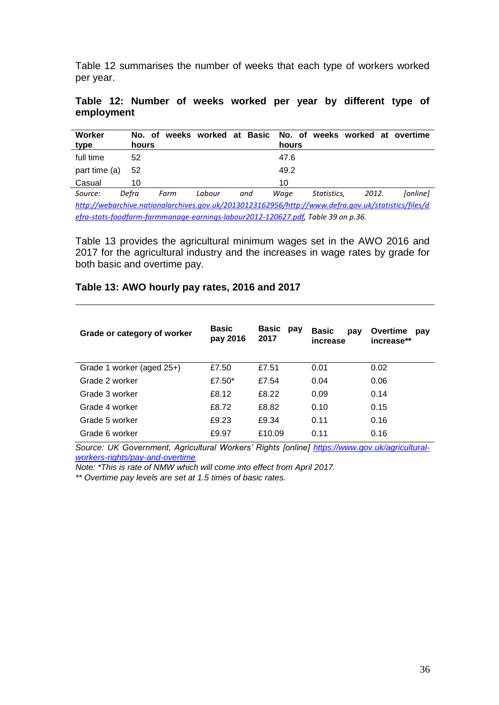Table 12 summarises the number of weeks that each type of workers worked per year.

|            |  |  |  |  | Table 12: Number of weeks worked per year by different type of |  |
|------------|--|--|--|--|----------------------------------------------------------------|--|
| employment |  |  |  |  |                                                                |  |

| Worker<br>type                                                                                      | No. of<br>hours | weeks |        | worked at Basic | hours |             |       | No. of weeks worked at overtime |
|-----------------------------------------------------------------------------------------------------|-----------------|-------|--------|-----------------|-------|-------------|-------|---------------------------------|
| full time                                                                                           | 52              |       |        |                 | 47.6  |             |       |                                 |
| part time (a)                                                                                       | 52              |       |        |                 | 49.2  |             |       |                                 |
| Casual                                                                                              | 10              |       |        |                 | 10    |             |       |                                 |
| Source:                                                                                             | Defra           | Farm  | Labour | and             | Waae  | Statistics. | 2012. | <i>[online]</i>                 |
| http://webarchive.nationalarchives.gov.uk/20130123162956/http://www.defra.gov.uk/statistics/files/d |                 |       |        |                 |       |             |       |                                 |
| efra-stats-foodfarm-farmmanage-earnings-labour2012-120627.pdf, Table 39 on p.36.                    |                 |       |        |                 |       |             |       |                                 |

Table 13 provides the agricultural minimum wages set in the AWO 2016 and 2017 for the agricultural industry and the increases in wage rates by grade for both basic and overtime pay.

#### **Table 13: AWO hourly pay rates, 2016 and 2017**

| Grade or category of worker | <b>Basic</b><br>pay 2016 | <b>Basic</b><br>pay<br>2017 | <b>Basic</b><br>pay<br>increase | Overtime<br>pay<br>increase** |
|-----------------------------|--------------------------|-----------------------------|---------------------------------|-------------------------------|
| Grade 1 worker (aged 25+)   | £7.50                    | £7.51                       | 0.01                            | 0.02                          |
| Grade 2 worker              | £7.50 $*$                | £7.54                       | 0.04                            | 0.06                          |
| Grade 3 worker              | £8.12                    | £8.22                       | 0.09                            | 0.14                          |
| Grade 4 worker              | £8.72                    | £8.82                       | 0.10                            | 0.15                          |
| Grade 5 worker              | £9.23                    | £9.34                       | 0.11                            | 0.16                          |
| Grade 6 worker              | £9.97                    | £10.09                      | 0.11                            | 0.16                          |

*Source: UK Government, Agricultural Workers' Rights [online] [https://www.gov.uk/agricultural](https://www.gov.uk/agricultural-workers-rights/pay-and-overtime)[workers-rights/pay-and-overtime](https://www.gov.uk/agricultural-workers-rights/pay-and-overtime)*

*Note: \*This is rate of NMW which will come into effect from April 2017.*

*\*\* Overtime pay levels are set at 1.5 times of basic rates.*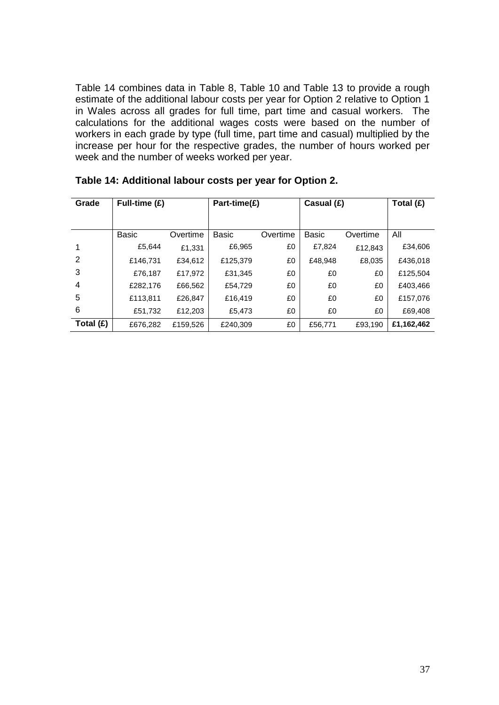Table 14 combines data in Table 8, Table 10 and Table 13 to provide a rough estimate of the additional labour costs per year for Option 2 relative to Option 1 in Wales across all grades for full time, part time and casual workers. The calculations for the additional wages costs were based on the number of workers in each grade by type (full time, part time and casual) multiplied by the increase per hour for the respective grades, the number of hours worked per week and the number of weeks worked per year.

| Grade     | Full-time (£) |          | Part-time(£) |          | Casual (£) | Total (£) |            |
|-----------|---------------|----------|--------------|----------|------------|-----------|------------|
|           |               |          |              |          |            |           |            |
|           | Basic         | Overtime | Basic        | Overtime | Basic      | Overtime  | All        |
|           | £5,644        | £1.331   | £6,965       | £0       | £7,824     | £12,843   | £34,606    |
| 2         | £146,731      | £34,612  | £125,379     | £0       | £48,948    | £8,035    | £436,018   |
| 3         | £76,187       | £17,972  | £31,345      | £0       | £0         | £0        | £125,504   |
| 4         | £282,176      | £66,562  | £54,729      | £0       | £0         | £0        | £403,466   |
| 5         | £113,811      | £26.847  | £16,419      | £0       | £0         | £0        | £157,076   |
| 6         | £51,732       | £12,203  | £5.473       | £0       | £0         | £0        | £69,408    |
| Total (£) | £676,282      | £159,526 | £240,309     | £0       | £56,771    | £93.190   | £1,162,462 |

| Table 14: Additional labour costs per year for Option 2. |  |  |
|----------------------------------------------------------|--|--|
|----------------------------------------------------------|--|--|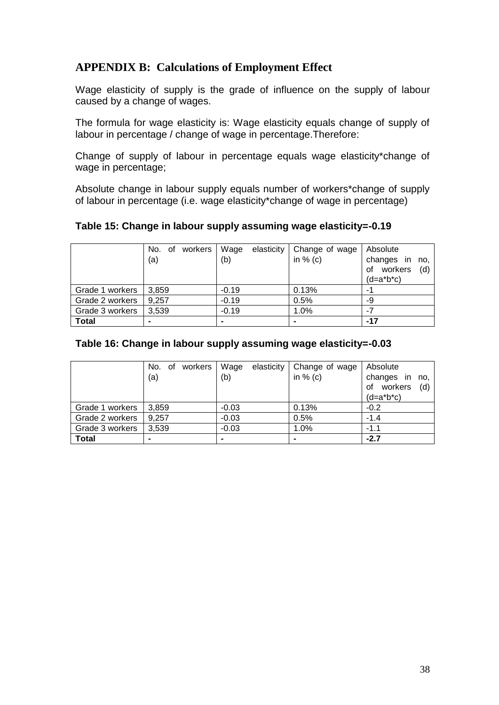# **APPENDIX B: Calculations of Employment Effect**

Wage elasticity of supply is the grade of influence on the supply of labour caused by a change of wages.

The formula for wage elasticity is: Wage elasticity equals change of supply of labour in percentage / change of wage in percentage.Therefore:

Change of supply of labour in percentage equals wage elasticity\*change of wage in percentage;

Absolute change in labour supply equals number of workers\*change of supply of labour in percentage (i.e. wage elasticity\*change of wage in percentage)

**Table 15: Change in labour supply assuming wage elasticity=-0.19**

|                 | No. of workers<br>(a) | Wage<br>elasticity<br>(b) | Change of wage<br>in $%$ (c) | Absolute<br>changes in<br>no,<br>of workers<br>(d)<br>$(d=a*b*c)$ |
|-----------------|-----------------------|---------------------------|------------------------------|-------------------------------------------------------------------|
| Grade 1 workers | 3,859                 | $-0.19$                   | 0.13%                        |                                                                   |
| Grade 2 workers | 9,257                 | $-0.19$                   | 0.5%                         | -9                                                                |
| Grade 3 workers | 3,539                 | $-0.19$                   | 1.0%                         | -7                                                                |
| <b>Total</b>    |                       |                           |                              | -17                                                               |

# **Table 16: Change in labour supply assuming wage elasticity=-0.03**

|                 | No. of workers<br>(a) | elasticity<br>Wage<br>(b) | Change of wage<br>in $%$ (c) | Absolute<br>changes in no,       |
|-----------------|-----------------------|---------------------------|------------------------------|----------------------------------|
|                 |                       |                           |                              | of workers<br>(d)<br>$(d=a*b*c)$ |
| Grade 1 workers | 3.859                 | $-0.03$                   | 0.13%                        | $-0.2$                           |
| Grade 2 workers | 9,257                 | $-0.03$                   | 0.5%                         | $-1.4$                           |
| Grade 3 workers | 3,539                 | $-0.03$                   | 1.0%                         | $-1.1$                           |
| <b>Total</b>    | -                     |                           |                              | $-2.7$                           |